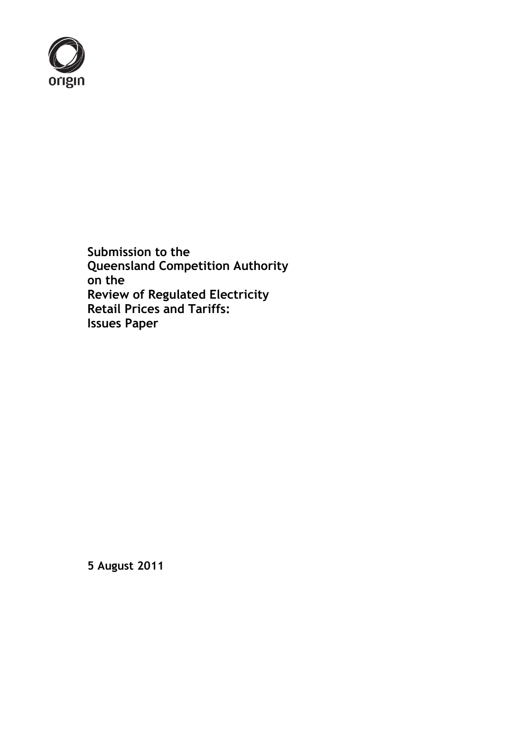

**Submission to the Queensland Competition Authority on the Review of Regulated Electricity Retail Prices and Tariffs: Issues Paper**

**5 August 2011**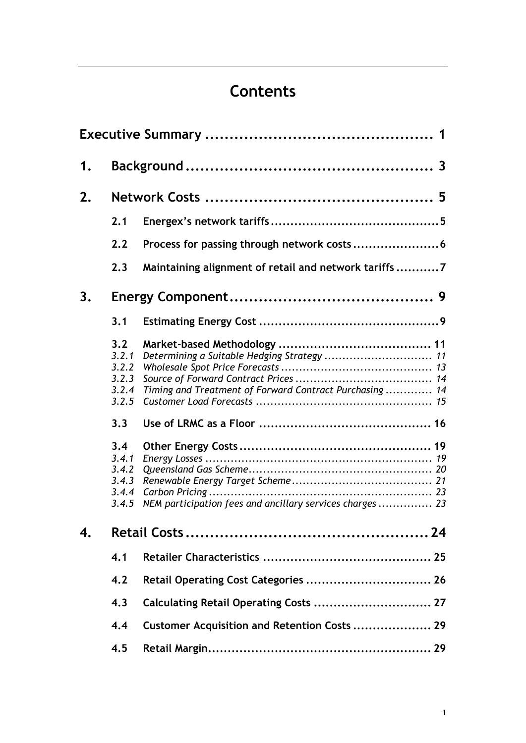# **Contents**

| 1. |                                                                                                             |                                                                                                                                                                     |  |  |  |  |
|----|-------------------------------------------------------------------------------------------------------------|---------------------------------------------------------------------------------------------------------------------------------------------------------------------|--|--|--|--|
| 2. |                                                                                                             |                                                                                                                                                                     |  |  |  |  |
|    | 2.1                                                                                                         |                                                                                                                                                                     |  |  |  |  |
|    | 2.2                                                                                                         | Process for passing through network costs 6                                                                                                                         |  |  |  |  |
|    | 2.3                                                                                                         | Maintaining alignment of retail and network tariffs7                                                                                                                |  |  |  |  |
| 3. |                                                                                                             |                                                                                                                                                                     |  |  |  |  |
|    | 3.1                                                                                                         |                                                                                                                                                                     |  |  |  |  |
|    | 3.2<br>3.2.1<br>3.2.2<br>3.2.3<br>3.2.4<br>3.2.5<br>3.3<br>3.4<br>3.4.1<br>3.4.2<br>3.4.3<br>3.4.4<br>3.4.5 | Determining a Suitable Hedging Strategy  11<br>Timing and Treatment of Forward Contract Purchasing  14<br>NEM participation fees and ancillary services charges  23 |  |  |  |  |
| 4. |                                                                                                             |                                                                                                                                                                     |  |  |  |  |
|    | 4.1                                                                                                         |                                                                                                                                                                     |  |  |  |  |
|    | 4.2                                                                                                         | Retail Operating Cost Categories  26                                                                                                                                |  |  |  |  |
|    | 4.3                                                                                                         | Calculating Retail Operating Costs  27                                                                                                                              |  |  |  |  |
|    | 4.4                                                                                                         | Customer Acquisition and Retention Costs  29                                                                                                                        |  |  |  |  |
|    | 4.5                                                                                                         |                                                                                                                                                                     |  |  |  |  |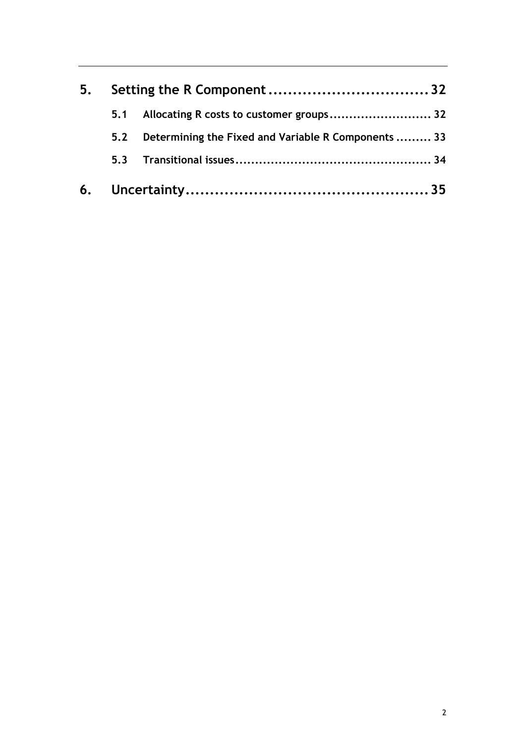| 5. |     |                                                     |  |  |
|----|-----|-----------------------------------------------------|--|--|
|    | 5.1 | Allocating R costs to customer groups 32            |  |  |
|    | 5.2 | Determining the Fixed and Variable R Components  33 |  |  |
|    | 5.3 |                                                     |  |  |
|    |     |                                                     |  |  |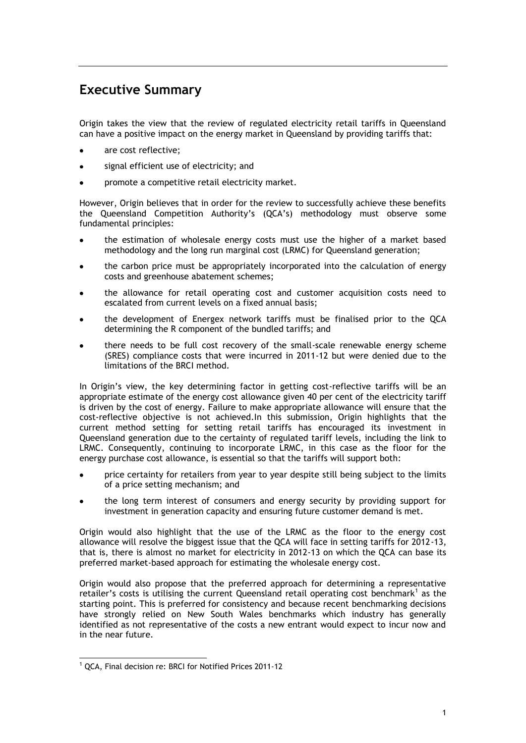## <span id="page-3-0"></span>**Executive Summary**

Origin takes the view that the review of regulated electricity retail tariffs in Queensland can have a positive impact on the energy market in Queensland by providing tariffs that:

- are cost reflective;
- signal efficient use of electricity; and
- promote a competitive retail electricity market.  $\bullet$

However, Origin believes that in order for the review to successfully achieve these benefits the Queensland Competition Authority's (QCA's) methodology must observe some fundamental principles:

- the estimation of wholesale energy costs must use the higher of a market based methodology and the long run marginal cost (LRMC) for Queensland generation;
- the carbon price must be appropriately incorporated into the calculation of energy costs and greenhouse abatement schemes;
- the allowance for retail operating cost and customer acquisition costs need to escalated from current levels on a fixed annual basis;
- the development of Energex network tariffs must be finalised prior to the QCA determining the R component of the bundled tariffs; and
- there needs to be full cost recovery of the small-scale renewable energy scheme (SRES) compliance costs that were incurred in 2011-12 but were denied due to the limitations of the BRCI method.

In Origin's view, the key determining factor in getting cost-reflective tariffs will be an appropriate estimate of the energy cost allowance given 40 per cent of the electricity tariff is driven by the cost of energy. Failure to make appropriate allowance will ensure that the cost-reflective objective is not achieved.In this submission, Origin highlights that the current method setting for setting retail tariffs has encouraged its investment in Queensland generation due to the certainty of regulated tariff levels, including the link to LRMC. Consequently, continuing to incorporate LRMC, in this case as the floor for the energy purchase cost allowance, is essential so that the tariffs will support both:

- price certainty for retailers from year to year despite still being subject to the limits of a price setting mechanism; and
- the long term interest of consumers and energy security by providing support for investment in generation capacity and ensuring future customer demand is met.

Origin would also highlight that the use of the LRMC as the floor to the energy cost allowance will resolve the biggest issue that the QCA will face in setting tariffs for 2012-13, that is, there is almost no market for electricity in 2012-13 on which the QCA can base its preferred market-based approach for estimating the wholesale energy cost.

Origin would also propose that the preferred approach for determining a representative retailer's costs is utilising the current Queensland retail operating cost benchmark<sup>1</sup> as the starting point. This is preferred for consistency and because recent benchmarking decisions have strongly relied on New South Wales benchmarks which industry has generally identified as not representative of the costs a new entrant would expect to incur now and in the near future.

-

<sup>1</sup> QCA, Final decision re: BRCI for Notified Prices 2011-12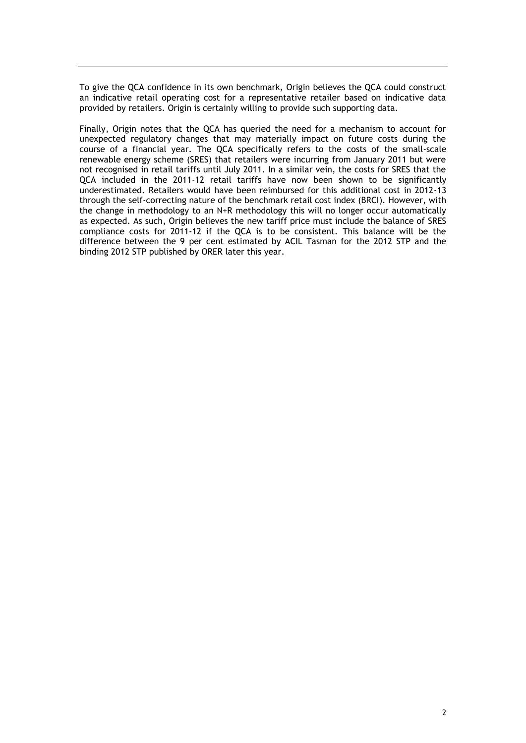To give the QCA confidence in its own benchmark, Origin believes the QCA could construct an indicative retail operating cost for a representative retailer based on indicative data provided by retailers. Origin is certainly willing to provide such supporting data.

Finally, Origin notes that the QCA has queried the need for a mechanism to account for unexpected regulatory changes that may materially impact on future costs during the course of a financial year. The QCA specifically refers to the costs of the small-scale renewable energy scheme (SRES) that retailers were incurring from January 2011 but were not recognised in retail tariffs until July 2011. In a similar vein, the costs for SRES that the QCA included in the 2011-12 retail tariffs have now been shown to be significantly underestimated. Retailers would have been reimbursed for this additional cost in 2012-13 through the self-correcting nature of the benchmark retail cost index (BRCI). However, with the change in methodology to an N+R methodology this will no longer occur automatically as expected. As such, Origin believes the new tariff price must include the balance of SRES compliance costs for 2011-12 if the QCA is to be consistent. This balance will be the difference between the 9 per cent estimated by ACIL Tasman for the 2012 STP and the binding 2012 STP published by ORER later this year.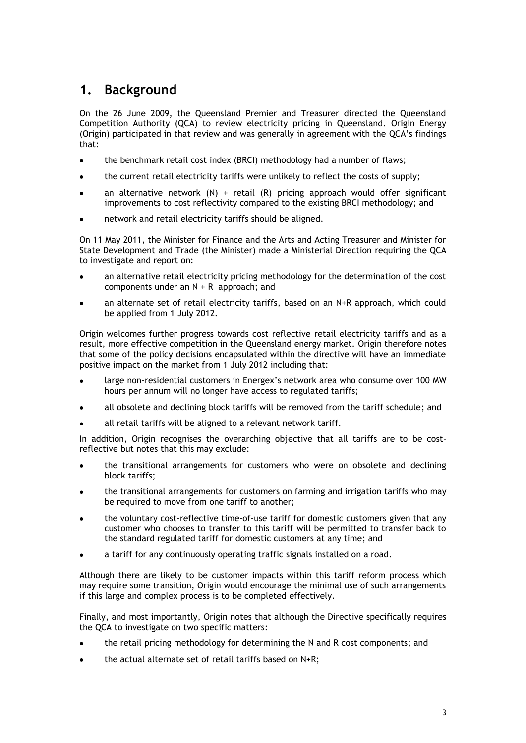## <span id="page-5-0"></span>**1. Background**

On the 26 June 2009, the Queensland Premier and Treasurer directed the Queensland Competition Authority (QCA) to review electricity pricing in Queensland. Origin Energy (Origin) participated in that review and was generally in agreement with the QCA's findings that:

- the benchmark retail cost index (BRCI) methodology had a number of flaws;
- the current retail electricity tariffs were unlikely to reflect the costs of supply;
- an alternative network  $(N)$  + retail  $(R)$  pricing approach would offer significant improvements to cost reflectivity compared to the existing BRCI methodology; and
- network and retail electricity tariffs should be aligned.

On 11 May 2011, the Minister for Finance and the Arts and Acting Treasurer and Minister for State Development and Trade (the Minister) made a Ministerial Direction requiring the QCA to investigate and report on:

- an alternative retail electricity pricing methodology for the determination of the cost components under an N + R approach; and
- an alternate set of retail electricity tariffs, based on an N+R approach, which could be applied from 1 July 2012.

Origin welcomes further progress towards cost reflective retail electricity tariffs and as a result, more effective competition in the Queensland energy market. Origin therefore notes that some of the policy decisions encapsulated within the directive will have an immediate positive impact on the market from 1 July 2012 including that:

- large non-residential customers in Energex's network area who consume over 100 MW hours per annum will no longer have access to regulated tariffs;
- all obsolete and declining block tariffs will be removed from the tariff schedule; and
- all retail tariffs will be aligned to a relevant network tariff.

In addition, Origin recognises the overarching objective that all tariffs are to be costreflective but notes that this may exclude:

- the transitional arrangements for customers who were on obsolete and declining block tariffs;
- the transitional arrangements for customers on farming and irrigation tariffs who may be required to move from one tariff to another;
- the voluntary cost-reflective time-of-use tariff for domestic customers given that any customer who chooses to transfer to this tariff will be permitted to transfer back to the standard regulated tariff for domestic customers at any time; and
- a tariff for any continuously operating traffic signals installed on a road.

Although there are likely to be customer impacts within this tariff reform process which may require some transition, Origin would encourage the minimal use of such arrangements if this large and complex process is to be completed effectively.

Finally, and most importantly, Origin notes that although the Directive specifically requires the QCA to investigate on two specific matters:

- the retail pricing methodology for determining the N and R cost components; and
- the actual alternate set of retail tariffs based on N+R;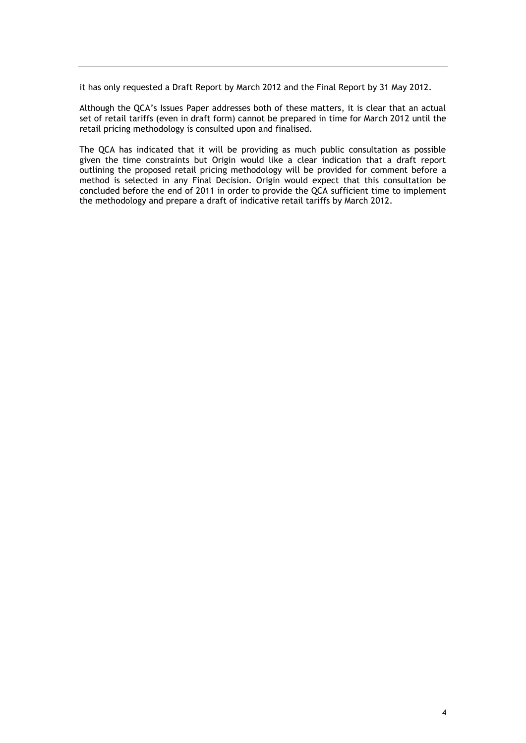it has only requested a Draft Report by March 2012 and the Final Report by 31 May 2012.

Although the QCA's Issues Paper addresses both of these matters, it is clear that an actual set of retail tariffs (even in draft form) cannot be prepared in time for March 2012 until the retail pricing methodology is consulted upon and finalised.

The QCA has indicated that it will be providing as much public consultation as possible given the time constraints but Origin would like a clear indication that a draft report outlining the proposed retail pricing methodology will be provided for comment before a method is selected in any Final Decision. Origin would expect that this consultation be concluded before the end of 2011 in order to provide the QCA sufficient time to implement the methodology and prepare a draft of indicative retail tariffs by March 2012.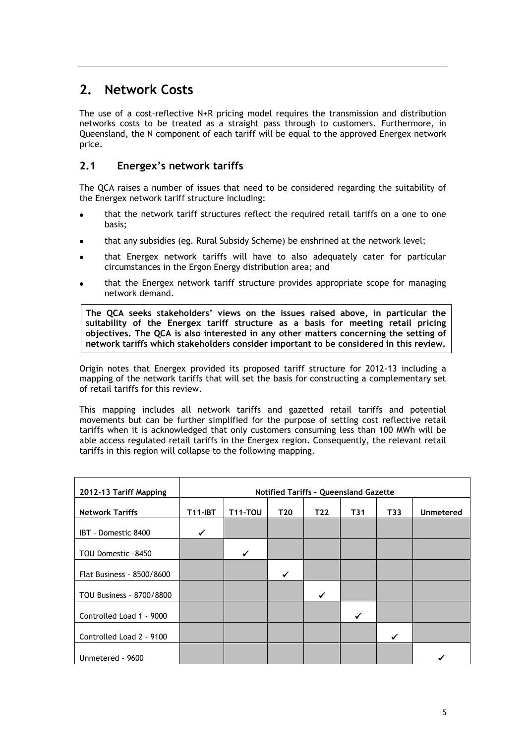## <span id="page-7-0"></span>**2. Network Costs**

The use of a cost-reflective N+R pricing model requires the transmission and distribution networks costs to be treated as a straight pass through to customers. Furthermore, in Queensland, the N component of each tariff will be equal to the approved Energex network price.

## <span id="page-7-1"></span>**2.1 Energex's network tariffs**

The QCA raises a number of issues that need to be considered regarding the suitability of the Energex network tariff structure including:

- that the network tariff structures reflect the required retail tariffs on a one to one basis;
- that any subsidies (eg. Rural Subsidy Scheme) be enshrined at the network level;
- that Energex network tariffs will have to also adequately cater for particular circumstances in the Ergon Energy distribution area; and
- that the Energex network tariff structure provides appropriate scope for managing network demand.

**The QCA seeks stakeholders' views on the issues raised above, in particular the suitability of the Energex tariff structure as a basis for meeting retail pricing objectives. The QCA is also interested in any other matters concerning the setting of network tariffs which stakeholders consider important to be considered in this review.**

Origin notes that Energex provided its proposed tariff structure for 2012-13 including a mapping of the network tariffs that will set the basis for constructing a complementary set of retail tariffs for this review.

This mapping includes all network tariffs and gazetted retail tariffs and potential movements but can be further simplified for the purpose of setting cost reflective retail tariffs when it is acknowledged that only customers consuming less than 100 MWh will be able access regulated retail tariffs in the Energex region. Consequently, the relevant retail tariffs in this region will collapse to the following mapping.

| 2012-13 Tariff Mapping    | <b>Notified Tariffs - Queensland Gazette</b> |                |     |     |     |     |           |  |
|---------------------------|----------------------------------------------|----------------|-----|-----|-----|-----|-----------|--|
| <b>Network Tariffs</b>    | <b>T11-IBT</b>                               | <b>T11-TOU</b> | T20 | T22 | T31 | T33 | Unmetered |  |
| IBT - Domestic 8400       | ✓                                            |                |     |     |     |     |           |  |
| TOU Domestic -8450        |                                              | ✔              |     |     |     |     |           |  |
| Flat Business - 8500/8600 |                                              |                | ✔   |     |     |     |           |  |
| TOU Business - 8700/8800  |                                              |                |     | ✓   |     |     |           |  |
| Controlled Load 1 - 9000  |                                              |                |     |     |     |     |           |  |
| Controlled Load 2 - 9100  |                                              |                |     |     |     |     |           |  |
| Unmetered - 9600          |                                              |                |     |     |     |     |           |  |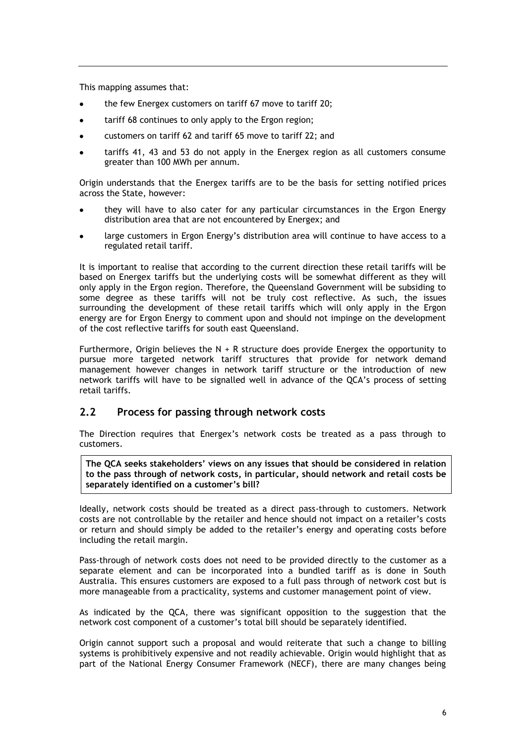This mapping assumes that:

- the few Energex customers on tariff 67 move to tariff 20;
- tariff 68 continues to only apply to the Ergon region;
- customers on tariff 62 and tariff 65 move to tariff 22; and
- tariffs 41, 43 and 53 do not apply in the Energex region as all customers consume greater than 100 MWh per annum.

Origin understands that the Energex tariffs are to be the basis for setting notified prices across the State, however:

- they will have to also cater for any particular circumstances in the Ergon Energy distribution area that are not encountered by Energex; and
- large customers in Ergon Energy's distribution area will continue to have access to a regulated retail tariff.

It is important to realise that according to the current direction these retail tariffs will be based on Energex tariffs but the underlying costs will be somewhat different as they will only apply in the Ergon region. Therefore, the Queensland Government will be subsiding to some degree as these tariffs will not be truly cost reflective. As such, the issues surrounding the development of these retail tariffs which will only apply in the Ergon energy are for Ergon Energy to comment upon and should not impinge on the development of the cost reflective tariffs for south east Queensland.

Furthermore, Origin believes the  $N + R$  structure does provide Energex the opportunity to pursue more targeted network tariff structures that provide for network demand management however changes in network tariff structure or the introduction of new network tariffs will have to be signalled well in advance of the QCA's process of setting retail tariffs.

### <span id="page-8-0"></span>**2.2 Process for passing through network costs**

The Direction requires that Energex's network costs be treated as a pass through to customers.

**The QCA seeks stakeholders' views on any issues that should be considered in relation to the pass through of network costs, in particular, should network and retail costs be separately identified on a customer's bill?**

Ideally, network costs should be treated as a direct pass-through to customers. Network costs are not controllable by the retailer and hence should not impact on a retailer's costs or return and should simply be added to the retailer's energy and operating costs before including the retail margin.

Pass-through of network costs does not need to be provided directly to the customer as a separate element and can be incorporated into a bundled tariff as is done in South Australia. This ensures customers are exposed to a full pass through of network cost but is more manageable from a practicality, systems and customer management point of view.

As indicated by the QCA, there was significant opposition to the suggestion that the network cost component of a customer's total bill should be separately identified.

Origin cannot support such a proposal and would reiterate that such a change to billing systems is prohibitively expensive and not readily achievable. Origin would highlight that as part of the National Energy Consumer Framework (NECF), there are many changes being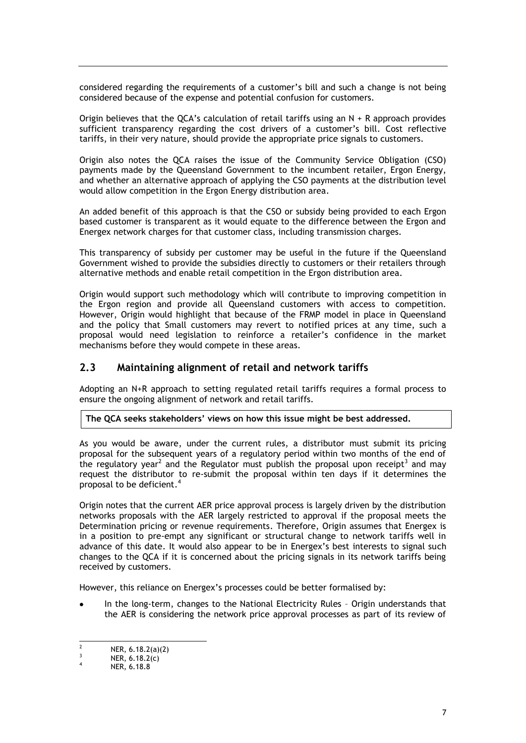considered regarding the requirements of a customer's bill and such a change is not being considered because of the expense and potential confusion for customers.

Origin believes that the QCA's calculation of retail tariffs using an  $N + R$  approach provides sufficient transparency regarding the cost drivers of a customer's bill. Cost reflective tariffs, in their very nature, should provide the appropriate price signals to customers.

Origin also notes the QCA raises the issue of the Community Service Obligation (CSO) payments made by the Queensland Government to the incumbent retailer, Ergon Energy, and whether an alternative approach of applying the CSO payments at the distribution level would allow competition in the Ergon Energy distribution area.

An added benefit of this approach is that the CSO or subsidy being provided to each Ergon based customer is transparent as it would equate to the difference between the Ergon and Energex network charges for that customer class, including transmission charges.

This transparency of subsidy per customer may be useful in the future if the Queensland Government wished to provide the subsidies directly to customers or their retailers through alternative methods and enable retail competition in the Ergon distribution area.

Origin would support such methodology which will contribute to improving competition in the Ergon region and provide all Queensland customers with access to competition. However, Origin would highlight that because of the FRMP model in place in Queensland and the policy that Small customers may revert to notified prices at any time, such a proposal would need legislation to reinforce a retailer's confidence in the market mechanisms before they would compete in these areas.

### <span id="page-9-0"></span>**2.3 Maintaining alignment of retail and network tariffs**

Adopting an N+R approach to setting regulated retail tariffs requires a formal process to ensure the ongoing alignment of network and retail tariffs.

**The QCA seeks stakeholders' views on how this issue might be best addressed.**

As you would be aware, under the current rules, a distributor must submit its pricing proposal for the subsequent years of a regulatory period within two months of the end of the regulatory year<sup>2</sup> and the Regulator must publish the proposal upon receipt<sup>3</sup> and may request the distributor to re-submit the proposal within ten days if it determines the proposal to be deficient.<sup>4</sup>

Origin notes that the current AER price approval process is largely driven by the distribution networks proposals with the AER largely restricted to approval if the proposal meets the Determination pricing or revenue requirements. Therefore, Origin assumes that Energex is in a position to pre-empt any significant or structural change to network tariffs well in advance of this date. It would also appear to be in Energex's best interests to signal such changes to the QCA if it is concerned about the pricing signals in its network tariffs being received by customers.

However, this reliance on Energex's processes could be better formalised by:

In the long-term, changes to the National Electricity Rules – Origin understands that the AER is considering the network price approval processes as part of its review of

 $\frac{1}{2}$ NER, 6.18.2(a)(2)

<sup>3</sup> NER, 6.18.2(c) 4

NER, 6.18.8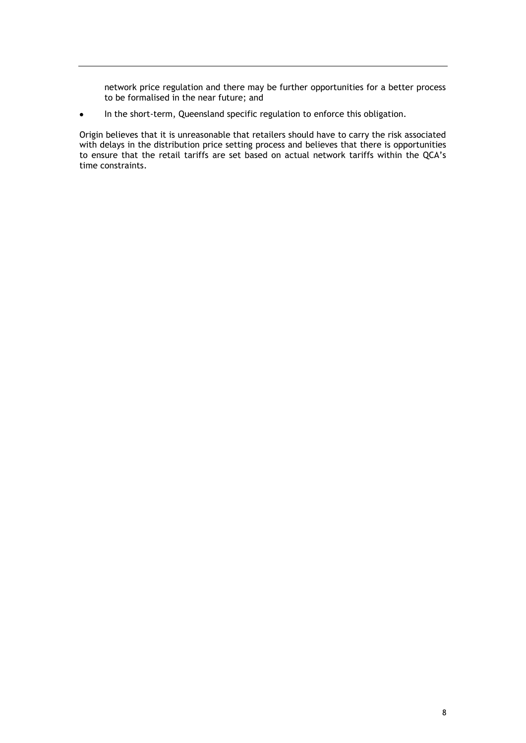network price regulation and there may be further opportunities for a better process to be formalised in the near future; and

In the short-term, Queensland specific regulation to enforce this obligation.  $\bullet$ 

Origin believes that it is unreasonable that retailers should have to carry the risk associated with delays in the distribution price setting process and believes that there is opportunities to ensure that the retail tariffs are set based on actual network tariffs within the QCA's time constraints.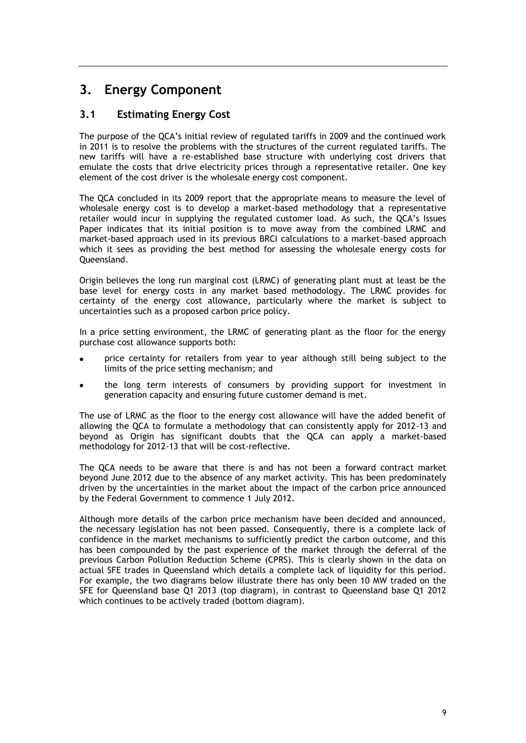## <span id="page-11-0"></span>**3. Energy Component**

## <span id="page-11-1"></span>**3.1 Estimating Energy Cost**

The purpose of the QCA's initial review of regulated tariffs in 2009 and the continued work in 2011 is to resolve the problems with the structures of the current regulated tariffs. The new tariffs will have a re-established base structure with underlying cost drivers that emulate the costs that drive electricity prices through a representative retailer. One key element of the cost driver is the wholesale energy cost component.

The QCA concluded in its 2009 report that the appropriate means to measure the level of wholesale energy cost is to develop a market-based methodology that a representative retailer would incur in supplying the regulated customer load. As such, the QCA's Issues Paper indicates that its initial position is to move away from the combined LRMC and market-based approach used in its previous BRCI calculations to a market-based approach which it sees as providing the best method for assessing the wholesale energy costs for Queensland.

Origin believes the long run marginal cost (LRMC) of generating plant must at least be the base level for energy costs in any market based methodology. The LRMC provides for certainty of the energy cost allowance, particularly where the market is subject to uncertainties such as a proposed carbon price policy.

In a price setting environment, the LRMC of generating plant as the floor for the energy purchase cost allowance supports both:

- price certainty for retailers from year to year although still being subject to the limits of the price setting mechanism; and
- the long term interests of consumers by providing support for investment in generation capacity and ensuring future customer demand is met.

The use of LRMC as the floor to the energy cost allowance will have the added benefit of allowing the QCA to formulate a methodology that can consistently apply for 2012-13 and beyond as Origin has significant doubts that the QCA can apply a market-based methodology for 2012-13 that will be cost-reflective.

The QCA needs to be aware that there is and has not been a forward contract market beyond June 2012 due to the absence of any market activity. This has been predominately driven by the uncertainties in the market about the impact of the carbon price announced by the Federal Government to commence 1 July 2012.

Although more details of the carbon price mechanism have been decided and announced, the necessary legislation has not been passed. Consequently, there is a complete lack of confidence in the market mechanisms to sufficiently predict the carbon outcome, and this has been compounded by the past experience of the market through the deferral of the previous Carbon Pollution Reduction Scheme (CPRS). This is clearly shown in the data on actual SFE trades in Queensland which details a complete lack of liquidity for this period. For example, the two diagrams below illustrate there has only been 10 MW traded on the SFE for Queensland base Q1 2013 (top diagram), in contrast to Queensland base Q1 2012 which continues to be actively traded (bottom diagram).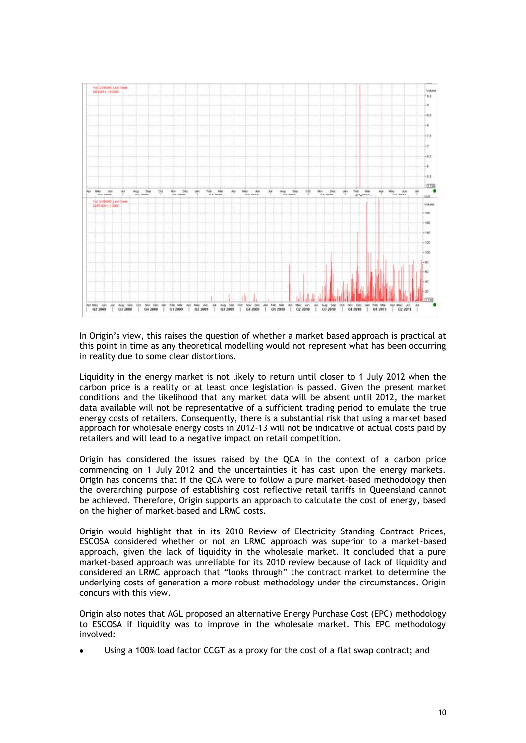

In Origin's view, this raises the question of whether a market based approach is practical at this point in time as any theoretical modelling would not represent what has been occurring in reality due to some clear distortions.

Liquidity in the energy market is not likely to return until closer to 1 July 2012 when the carbon price is a reality or at least once legislation is passed. Given the present market conditions and the likelihood that any market data will be absent until 2012, the market data available will not be representative of a sufficient trading period to emulate the true energy costs of retailers. Consequently, there is a substantial risk that using a market based approach for wholesale energy costs in 2012-13 will not be indicative of actual costs paid by retailers and will lead to a negative impact on retail competition.

Origin has considered the issues raised by the QCA in the context of a carbon price commencing on 1 July 2012 and the uncertainties it has cast upon the energy markets. Origin has concerns that if the QCA were to follow a pure market-based methodology then the overarching purpose of establishing cost reflective retail tariffs in Queensland cannot be achieved. Therefore, Origin supports an approach to calculate the cost of energy, based on the higher of market-based and LRMC costs.

Origin would highlight that in its 2010 Review of Electricity Standing Contract Prices, ESCOSA considered whether or not an LRMC approach was superior to a market-based approach, given the lack of liquidity in the wholesale market. It concluded that a pure market-based approach was unreliable for its 2010 review because of lack of liquidity and considered an LRMC approach that "looks through" the contract market to determine the underlying costs of generation a more robust methodology under the circumstances. Origin concurs with this view.

Origin also notes that AGL proposed an alternative Energy Purchase Cost (EPC) methodology to ESCOSA if liquidity was to improve in the wholesale market. This EPC methodology involved:

Using a 100% load factor CCGT as a proxy for the cost of a flat swap contract; and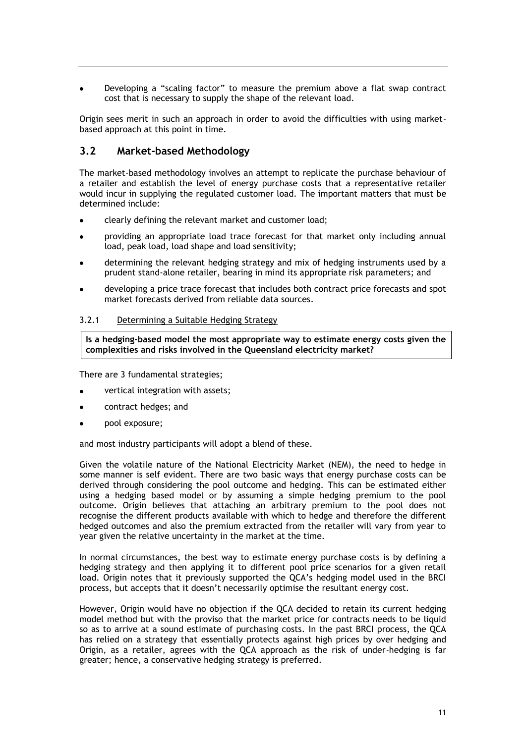Developing a "scaling factor" to measure the premium above a flat swap contract cost that is necessary to supply the shape of the relevant load.

Origin sees merit in such an approach in order to avoid the difficulties with using marketbased approach at this point in time.

### <span id="page-13-0"></span>**3.2 Market-based Methodology**

The market-based methodology involves an attempt to replicate the purchase behaviour of a retailer and establish the level of energy purchase costs that a representative retailer would incur in supplying the regulated customer load. The important matters that must be determined include:

- clearly defining the relevant market and customer load;
- providing an appropriate load trace forecast for that market only including annual load, peak load, load shape and load sensitivity;
- determining the relevant hedging strategy and mix of hedging instruments used by a prudent stand-alone retailer, bearing in mind its appropriate risk parameters; and
- developing a price trace forecast that includes both contract price forecasts and spot market forecasts derived from reliable data sources.

#### <span id="page-13-1"></span>3.2.1 Determining a Suitable Hedging Strategy

**Is a hedging-based model the most appropriate way to estimate energy costs given the complexities and risks involved in the Queensland electricity market?**

There are 3 fundamental strategies;

- vertical integration with assets;
- contract hedges; and
- pool exposure;

and most industry participants will adopt a blend of these.

Given the volatile nature of the National Electricity Market (NEM), the need to hedge in some manner is self evident. There are two basic ways that energy purchase costs can be derived through considering the pool outcome and hedging. This can be estimated either using a hedging based model or by assuming a simple hedging premium to the pool outcome. Origin believes that attaching an arbitrary premium to the pool does not recognise the different products available with which to hedge and therefore the different hedged outcomes and also the premium extracted from the retailer will vary from year to year given the relative uncertainty in the market at the time.

In normal circumstances, the best way to estimate energy purchase costs is by defining a hedging strategy and then applying it to different pool price scenarios for a given retail load. Origin notes that it previously supported the QCA's hedging model used in the BRCI process, but accepts that it doesn't necessarily optimise the resultant energy cost.

However, Origin would have no objection if the QCA decided to retain its current hedging model method but with the proviso that the market price for contracts needs to be liquid so as to arrive at a sound estimate of purchasing costs. In the past BRCI process, the QCA has relied on a strategy that essentially protects against high prices by over hedging and Origin, as a retailer, agrees with the QCA approach as the risk of under-hedging is far greater; hence, a conservative hedging strategy is preferred.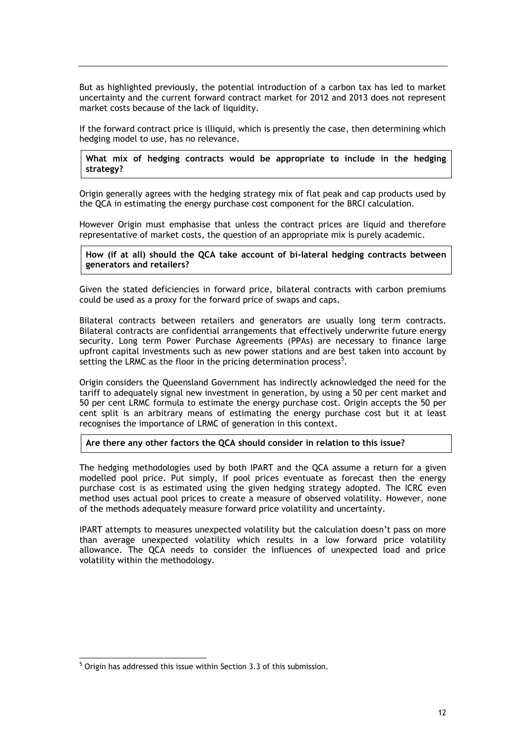But as highlighted previously, the potential introduction of a carbon tax has led to market uncertainty and the current forward contract market for 2012 and 2013 does not represent market costs because of the lack of liquidity.

If the forward contract price is illiquid, which is presently the case, then determining which hedging model to use, has no relevance.

#### **What mix of hedging contracts would be appropriate to include in the hedging strategy?**

Origin generally agrees with the hedging strategy mix of flat peak and cap products used by the QCA in estimating the energy purchase cost component for the BRCI calculation.

However Origin must emphasise that unless the contract prices are liquid and therefore representative of market costs, the question of an appropriate mix is purely academic.

#### **How (if at all) should the QCA take account of bi-lateral hedging contracts between generators and retailers?**

Given the stated deficiencies in forward price, bilateral contracts with carbon premiums could be used as a proxy for the forward price of swaps and caps.

Bilateral contracts between retailers and generators are usually long term contracts. Bilateral contracts are confidential arrangements that effectively underwrite future energy security. Long term Power Purchase Agreements (PPAs) are necessary to finance large upfront capital investments such as new power stations and are best taken into account by setting the LRMC as the floor in the pricing determination process<sup>5</sup>.

Origin considers the Queensland Government has indirectly acknowledged the need for the tariff to adequately signal new investment in generation, by using a 50 per cent market and 50 per cent LRMC formula to estimate the energy purchase cost. Origin accepts the 50 per cent split is an arbitrary means of estimating the energy purchase cost but it at least recognises the importance of LRMC of generation in this context.

#### **Are there any other factors the QCA should consider in relation to this issue?**

The hedging methodologies used by both IPART and the QCA assume a return for a given modelled pool price. Put simply, if pool prices eventuate as forecast then the energy purchase cost is as estimated using the given hedging strategy adopted. The ICRC even method uses actual pool prices to create a measure of observed volatility. However, none of the methods adequately measure forward price volatility and uncertainty.

IPART attempts to measures unexpected volatility but the calculation doesn't pass on more than average unexpected volatility which results in a low forward price volatility allowance. The QCA needs to consider the influences of unexpected load and price volatility within the methodology.

-

<sup>&</sup>lt;sup>5</sup> Origin has addressed this issue within Section 3.3 of this submission.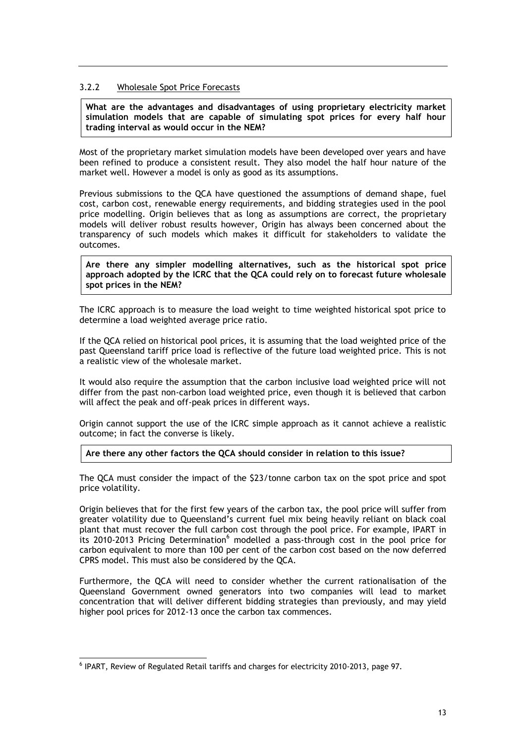#### <span id="page-15-0"></span>3.2.2 Wholesale Spot Price Forecasts

**What are the advantages and disadvantages of using proprietary electricity market simulation models that are capable of simulating spot prices for every half hour trading interval as would occur in the NEM?**

Most of the proprietary market simulation models have been developed over years and have been refined to produce a consistent result. They also model the half hour nature of the market well. However a model is only as good as its assumptions.

Previous submissions to the QCA have questioned the assumptions of demand shape, fuel cost, carbon cost, renewable energy requirements, and bidding strategies used in the pool price modelling. Origin believes that as long as assumptions are correct, the proprietary models will deliver robust results however, Origin has always been concerned about the transparency of such models which makes it difficult for stakeholders to validate the outcomes.

**Are there any simpler modelling alternatives, such as the historical spot price approach adopted by the ICRC that the QCA could rely on to forecast future wholesale spot prices in the NEM?**

The ICRC approach is to measure the load weight to time weighted historical spot price to determine a load weighted average price ratio.

If the QCA relied on historical pool prices, it is assuming that the load weighted price of the past Queensland tariff price load is reflective of the future load weighted price. This is not a realistic view of the wholesale market.

It would also require the assumption that the carbon inclusive load weighted price will not differ from the past non-carbon load weighted price, even though it is believed that carbon will affect the peak and off-peak prices in different ways.

Origin cannot support the use of the ICRC simple approach as it cannot achieve a realistic outcome; in fact the converse is likely.

#### **Are there any other factors the QCA should consider in relation to this issue?**

The QCA must consider the impact of the \$23/tonne carbon tax on the spot price and spot price volatility.

Origin believes that for the first few years of the carbon tax, the pool price will suffer from greater volatility due to Queensland's current fuel mix being heavily reliant on black coal plant that must recover the full carbon cost through the pool price. For example, IPART in its 2010-2013 Pricing Determination<sup>6</sup> modelled a pass-through cost in the pool price for carbon equivalent to more than 100 per cent of the carbon cost based on the now deferred CPRS model. This must also be considered by the QCA.

Furthermore, the QCA will need to consider whether the current rationalisation of the Queensland Government owned generators into two companies will lead to market concentration that will deliver different bidding strategies than previously, and may yield higher pool prices for 2012-13 once the carbon tax commences.

-

<sup>&</sup>lt;sup>6</sup> IPART, Review of Regulated Retail tariffs and charges for electricity 2010-2013, page 97.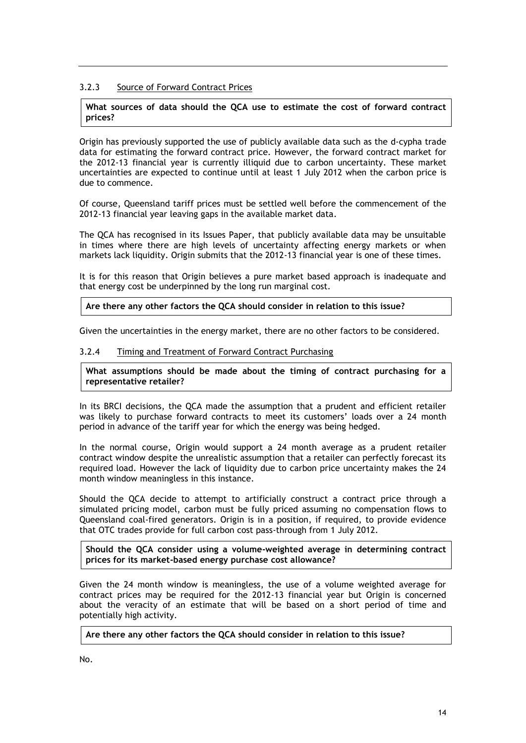#### <span id="page-16-0"></span>3.2.3 Source of Forward Contract Prices

#### **What sources of data should the QCA use to estimate the cost of forward contract prices?**

Origin has previously supported the use of publicly available data such as the d-cypha trade data for estimating the forward contract price. However, the forward contract market for the 2012-13 financial year is currently illiquid due to carbon uncertainty. These market uncertainties are expected to continue until at least 1 July 2012 when the carbon price is due to commence.

Of course, Queensland tariff prices must be settled well before the commencement of the 2012-13 financial year leaving gaps in the available market data.

The QCA has recognised in its Issues Paper, that publicly available data may be unsuitable in times where there are high levels of uncertainty affecting energy markets or when markets lack liquidity. Origin submits that the 2012-13 financial year is one of these times.

It is for this reason that Origin believes a pure market based approach is inadequate and that energy cost be underpinned by the long run marginal cost.

**Are there any other factors the QCA should consider in relation to this issue?**

<span id="page-16-1"></span>Given the uncertainties in the energy market, there are no other factors to be considered.

#### 3.2.4 Timing and Treatment of Forward Contract Purchasing

**What assumptions should be made about the timing of contract purchasing for a representative retailer?**

In its BRCI decisions, the QCA made the assumption that a prudent and efficient retailer was likely to purchase forward contracts to meet its customers' loads over a 24 month period in advance of the tariff year for which the energy was being hedged.

In the normal course, Origin would support a 24 month average as a prudent retailer contract window despite the unrealistic assumption that a retailer can perfectly forecast its required load. However the lack of liquidity due to carbon price uncertainty makes the 24 month window meaningless in this instance.

Should the QCA decide to attempt to artificially construct a contract price through a simulated pricing model, carbon must be fully priced assuming no compensation flows to Queensland coal-fired generators. Origin is in a position, if required, to provide evidence that OTC trades provide for full carbon cost pass-through from 1 July 2012.

**Should the QCA consider using a volume-weighted average in determining contract prices for its market-based energy purchase cost allowance?**

Given the 24 month window is meaningless, the use of a volume weighted average for contract prices may be required for the 2012-13 financial year but Origin is concerned about the veracity of an estimate that will be based on a short period of time and potentially high activity.

**Are there any other factors the QCA should consider in relation to this issue?**

No.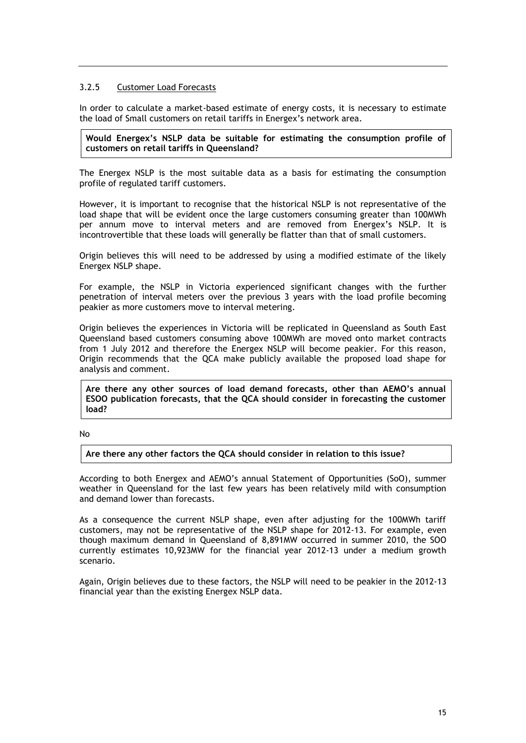#### <span id="page-17-0"></span>3.2.5 Customer Load Forecasts

In order to calculate a market-based estimate of energy costs, it is necessary to estimate the load of Small customers on retail tariffs in Energex's network area.

#### **Would Energex's NSLP data be suitable for estimating the consumption profile of customers on retail tariffs in Queensland?**

The Energex NSLP is the most suitable data as a basis for estimating the consumption profile of regulated tariff customers.

However, it is important to recognise that the historical NSLP is not representative of the load shape that will be evident once the large customers consuming greater than 100MWh per annum move to interval meters and are removed from Energex's NSLP. It is incontrovertible that these loads will generally be flatter than that of small customers.

Origin believes this will need to be addressed by using a modified estimate of the likely Energex NSLP shape.

For example, the NSLP in Victoria experienced significant changes with the further penetration of interval meters over the previous 3 years with the load profile becoming peakier as more customers move to interval metering.

Origin believes the experiences in Victoria will be replicated in Queensland as South East Queensland based customers consuming above 100MWh are moved onto market contracts from 1 July 2012 and therefore the Energex NSLP will become peakier. For this reason, Origin recommends that the QCA make publicly available the proposed load shape for analysis and comment.

**Are there any other sources of load demand forecasts, other than AEMO's annual ESOO publication forecasts, that the QCA should consider in forecasting the customer load?**

No

**Are there any other factors the QCA should consider in relation to this issue?**

According to both Energex and AEMO's annual Statement of Opportunities (SoO), summer weather in Queensland for the last few years has been relatively mild with consumption and demand lower than forecasts.

As a consequence the current NSLP shape, even after adjusting for the 100MWh tariff customers, may not be representative of the NSLP shape for 2012-13. For example, even though maximum demand in Queensland of 8,891MW occurred in summer 2010, the SOO currently estimates 10,923MW for the financial year 2012-13 under a medium growth scenario.

Again, Origin believes due to these factors, the NSLP will need to be peakier in the 2012-13 financial year than the existing Energex NSLP data.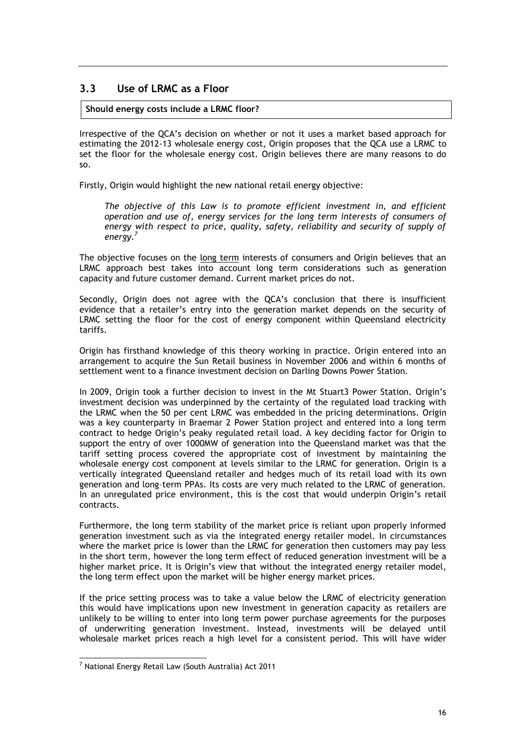## <span id="page-18-0"></span>**3.3 Use of LRMC as a Floor**

#### **Should energy costs include a LRMC floor?**

Irrespective of the QCA's decision on whether or not it uses a market based approach for estimating the 2012-13 wholesale energy cost, Origin proposes that the QCA use a LRMC to set the floor for the wholesale energy cost. Origin believes there are many reasons to do so.

Firstly, Origin would highlight the new national retail energy objective:

*The objective of this Law is to promote efficient investment in, and efficient operation and use of, energy services for the long term interests of consumers of energy with respect to price, quality, safety, reliability and security of supply of energy.<sup>7</sup>*

The objective focuses on the long term interests of consumers and Origin believes that an LRMC approach best takes into account long term considerations such as generation capacity and future customer demand. Current market prices do not.

Secondly, Origin does not agree with the QCA's conclusion that there is insufficient evidence that a retailer's entry into the generation market depends on the security of LRMC setting the floor for the cost of energy component within Queensland electricity tariffs.

Origin has firsthand knowledge of this theory working in practice. Origin entered into an arrangement to acquire the Sun Retail business in November 2006 and within 6 months of settlement went to a finance investment decision on Darling Downs Power Station.

In 2009, Origin took a further decision to invest in the Mt Stuart3 Power Station. Origin's investment decision was underpinned by the certainty of the regulated load tracking with the LRMC when the 50 per cent LRMC was embedded in the pricing determinations. Origin was a key counterparty in Braemar 2 Power Station project and entered into a long term contract to hedge Origin's peaky regulated retail load. A key deciding factor for Origin to support the entry of over 1000MW of generation into the Queensland market was that the tariff setting process covered the appropriate cost of investment by maintaining the wholesale energy cost component at levels similar to the LRMC for generation. Origin is a vertically integrated Queensland retailer and hedges much of its retail load with its own generation and long–term PPAs. Its costs are very much related to the LRMC of generation. In an unregulated price environment, this is the cost that would underpin Origin's retail contracts.

Furthermore, the long term stability of the market price is reliant upon properly informed generation investment such as via the integrated energy retailer model. In circumstances where the market price is lower than the LRMC for generation then customers may pay less in the short term, however the long term effect of reduced generation investment will be a higher market price. It is Origin's view that without the integrated energy retailer model, the long term effect upon the market will be higher energy market prices.

If the price setting process was to take a value below the LRMC of electricity generation this would have implications upon new investment in generation capacity as retailers are unlikely to be willing to enter into long term power purchase agreements for the purposes of underwriting generation investment. Instead, investments will be delayed until wholesale market prices reach a high level for a consistent period. This will have wider

-

<sup>7</sup> National Energy Retail Law (South Australia) Act 2011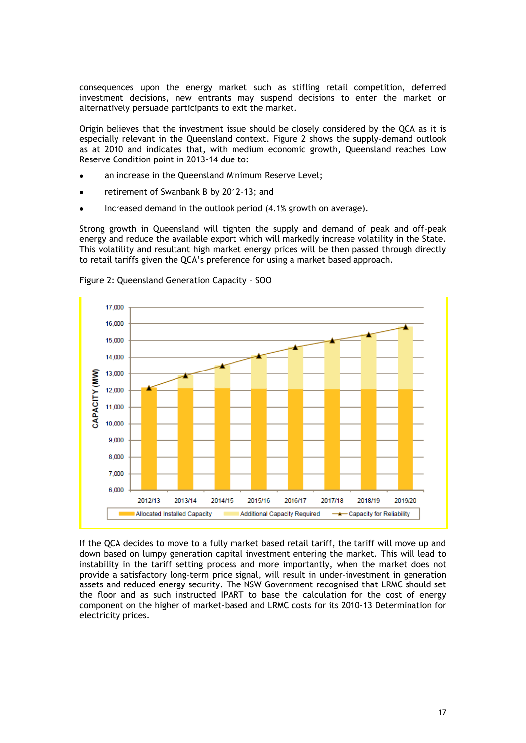consequences upon the energy market such as stifling retail competition, deferred investment decisions, new entrants may suspend decisions to enter the market or alternatively persuade participants to exit the market.

Origin believes that the investment issue should be closely considered by the QCA as it is especially relevant in the Queensland context. Figure 2 shows the supply-demand outlook as at 2010 and indicates that, with medium economic growth, Queensland reaches Low Reserve Condition point in 2013-14 due to:

- an increase in the Queensland Minimum Reserve Level;
- retirement of Swanbank B by 2012-13; and
- Increased demand in the outlook period (4.1% growth on average).

Strong growth in Queensland will tighten the supply and demand of peak and off-peak energy and reduce the available export which will markedly increase volatility in the State. This volatility and resultant high market energy prices will be then passed through directly to retail tariffs given the QCA's preference for using a market based approach.



Figure 2: Queensland Generation Capacity – SOO

If the QCA decides to move to a fully market based retail tariff, the tariff will move up and down based on lumpy generation capital investment entering the market. This will lead to instability in the tariff setting process and more importantly, when the market does not provide a satisfactory long-term price signal, will result in under-investment in generation assets and reduced energy security. The NSW Government recognised that LRMC should set the floor and as such instructed IPART to base the calculation for the cost of energy component on the higher of market-based and LRMC costs for its 2010-13 Determination for electricity prices.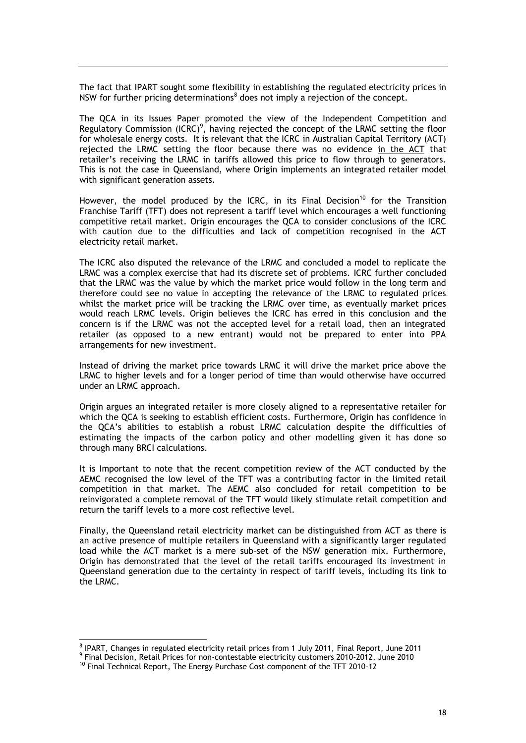The fact that IPART sought some flexibility in establishing the regulated electricity prices in NSW for further pricing determinations<sup>8</sup> does not imply a rejection of the concept.

The QCA in its Issues Paper promoted the view of the Independent Competition and Regulatory Commission (ICRC)<sup>9</sup>, having rejected the concept of the LRMC setting the floor for wholesale energy costs. It is relevant that the ICRC in Australian Capital Territory (ACT) rejected the LRMC setting the floor because there was no evidence in the ACT that retailer's receiving the LRMC in tariffs allowed this price to flow through to generators. This is not the case in Queensland, where Origin implements an integrated retailer model with significant generation assets.

However, the model produced by the ICRC, in its Final Decision<sup>10</sup> for the Transition Franchise Tariff (TFT) does not represent a tariff level which encourages a well functioning competitive retail market. Origin encourages the QCA to consider conclusions of the ICRC with caution due to the difficulties and lack of competition recognised in the ACT electricity retail market.

The ICRC also disputed the relevance of the LRMC and concluded a model to replicate the LRMC was a complex exercise that had its discrete set of problems. ICRC further concluded that the LRMC was the value by which the market price would follow in the long term and therefore could see no value in accepting the relevance of the LRMC to regulated prices whilst the market price will be tracking the LRMC over time, as eventually market prices would reach LRMC levels. Origin believes the ICRC has erred in this conclusion and the concern is if the LRMC was not the accepted level for a retail load, then an integrated retailer (as opposed to a new entrant) would not be prepared to enter into PPA arrangements for new investment.

Instead of driving the market price towards LRMC it will drive the market price above the LRMC to higher levels and for a longer period of time than would otherwise have occurred under an LRMC approach.

Origin argues an integrated retailer is more closely aligned to a representative retailer for which the QCA is seeking to establish efficient costs. Furthermore, Origin has confidence in the QCA's abilities to establish a robust LRMC calculation despite the difficulties of estimating the impacts of the carbon policy and other modelling given it has done so through many BRCI calculations.

It is Important to note that the recent competition review of the ACT conducted by the AEMC recognised the low level of the TFT was a contributing factor in the limited retail competition in that market. The AEMC also concluded for retail competition to be reinvigorated a complete removal of the TFT would likely stimulate retail competition and return the tariff levels to a more cost reflective level.

Finally, the Queensland retail electricity market can be distinguished from ACT as there is an active presence of multiple retailers in Queensland with a significantly larger regulated load while the ACT market is a mere sub-set of the NSW generation mix. Furthermore, Origin has demonstrated that the level of the retail tariffs encouraged its investment in Queensland generation due to the certainty in respect of tariff levels, including its link to the LRMC.

1

<sup>&</sup>lt;sup>8</sup> IPART, Changes in regulated electricity retail prices from 1 July 2011, Final Report, June 2011

<sup>9</sup> Final Decision, Retail Prices for non-contestable electricity customers 2010-2012, June 2010

<sup>&</sup>lt;sup>10</sup> Final Technical Report, The Energy Purchase Cost component of the TFT 2010-12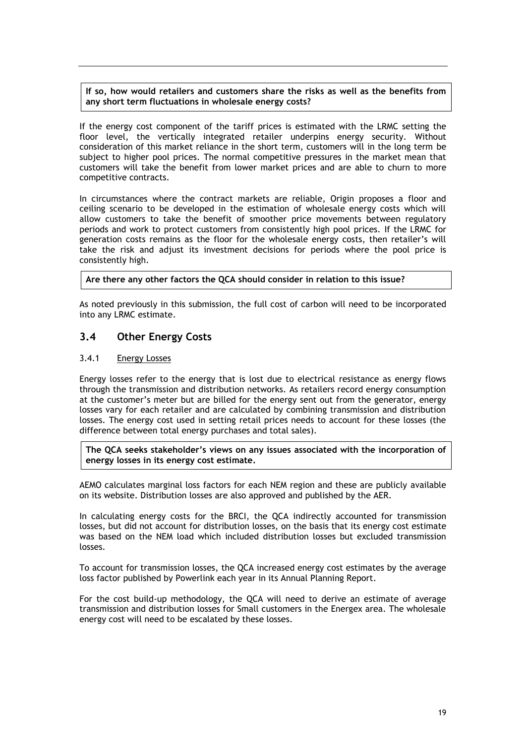#### **If so, how would retailers and customers share the risks as well as the benefits from any short term fluctuations in wholesale energy costs?**

If the energy cost component of the tariff prices is estimated with the LRMC setting the floor level, the vertically integrated retailer underpins energy security. Without consideration of this market reliance in the short term, customers will in the long term be subject to higher pool prices. The normal competitive pressures in the market mean that customers will take the benefit from lower market prices and are able to churn to more competitive contracts.

In circumstances where the contract markets are reliable, Origin proposes a floor and ceiling scenario to be developed in the estimation of wholesale energy costs which will allow customers to take the benefit of smoother price movements between regulatory periods and work to protect customers from consistently high pool prices. If the LRMC for generation costs remains as the floor for the wholesale energy costs, then retailer's will take the risk and adjust its investment decisions for periods where the pool price is consistently high.

**Are there any other factors the QCA should consider in relation to this issue?**

As noted previously in this submission, the full cost of carbon will need to be incorporated into any LRMC estimate.

## <span id="page-21-0"></span>**3.4 Other Energy Costs**

#### <span id="page-21-1"></span>3.4.1 Energy Losses

Energy losses refer to the energy that is lost due to electrical resistance as energy flows through the transmission and distribution networks. As retailers record energy consumption at the customer's meter but are billed for the energy sent out from the generator, energy losses vary for each retailer and are calculated by combining transmission and distribution losses. The energy cost used in setting retail prices needs to account for these losses (the difference between total energy purchases and total sales).

**The QCA seeks stakeholder's views on any issues associated with the incorporation of energy losses in its energy cost estimate.**

AEMO calculates marginal loss factors for each NEM region and these are publicly available on its website. Distribution losses are also approved and published by the AER.

In calculating energy costs for the BRCI, the QCA indirectly accounted for transmission losses, but did not account for distribution losses, on the basis that its energy cost estimate was based on the NEM load which included distribution losses but excluded transmission losses.

To account for transmission losses, the QCA increased energy cost estimates by the average loss factor published by Powerlink each year in its Annual Planning Report.

For the cost build-up methodology, the QCA will need to derive an estimate of average transmission and distribution losses for Small customers in the Energex area. The wholesale energy cost will need to be escalated by these losses.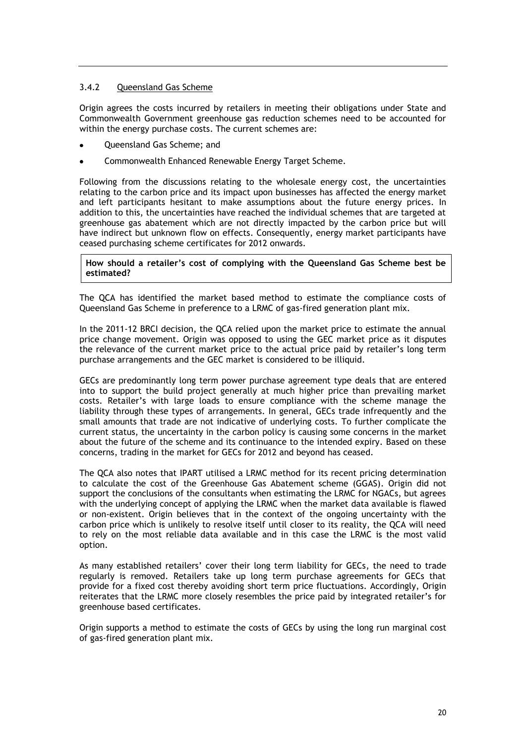#### <span id="page-22-0"></span>3.4.2 Queensland Gas Scheme

Origin agrees the costs incurred by retailers in meeting their obligations under State and Commonwealth Government greenhouse gas reduction schemes need to be accounted for within the energy purchase costs. The current schemes are:

- Queensland Gas Scheme; and
- Commonwealth Enhanced Renewable Energy Target Scheme.

Following from the discussions relating to the wholesale energy cost, the uncertainties relating to the carbon price and its impact upon businesses has affected the energy market and left participants hesitant to make assumptions about the future energy prices. In addition to this, the uncertainties have reached the individual schemes that are targeted at greenhouse gas abatement which are not directly impacted by the carbon price but will have indirect but unknown flow on effects. Consequently, energy market participants have ceased purchasing scheme certificates for 2012 onwards.

#### **How should a retailer's cost of complying with the Queensland Gas Scheme best be estimated?**

The QCA has identified the market based method to estimate the compliance costs of Queensland Gas Scheme in preference to a LRMC of gas-fired generation plant mix.

In the 2011-12 BRCI decision, the QCA relied upon the market price to estimate the annual price change movement. Origin was opposed to using the GEC market price as it disputes the relevance of the current market price to the actual price paid by retailer's long term purchase arrangements and the GEC market is considered to be illiquid.

GECs are predominantly long term power purchase agreement type deals that are entered into to support the build project generally at much higher price than prevailing market costs. Retailer's with large loads to ensure compliance with the scheme manage the liability through these types of arrangements. In general, GECs trade infrequently and the small amounts that trade are not indicative of underlying costs. To further complicate the current status, the uncertainty in the carbon policy is causing some concerns in the market about the future of the scheme and its continuance to the intended expiry. Based on these concerns, trading in the market for GECs for 2012 and beyond has ceased.

The QCA also notes that IPART utilised a LRMC method for its recent pricing determination to calculate the cost of the Greenhouse Gas Abatement scheme (GGAS). Origin did not support the conclusions of the consultants when estimating the LRMC for NGACs, but agrees with the underlying concept of applying the LRMC when the market data available is flawed or non-existent. Origin believes that in the context of the ongoing uncertainty with the carbon price which is unlikely to resolve itself until closer to its reality, the QCA will need to rely on the most reliable data available and in this case the LRMC is the most valid option.

As many established retailers' cover their long term liability for GECs, the need to trade regularly is removed. Retailers take up long term purchase agreements for GECs that provide for a fixed cost thereby avoiding short term price fluctuations. Accordingly, Origin reiterates that the LRMC more closely resembles the price paid by integrated retailer's for greenhouse based certificates.

Origin supports a method to estimate the costs of GECs by using the long run marginal cost of gas-fired generation plant mix.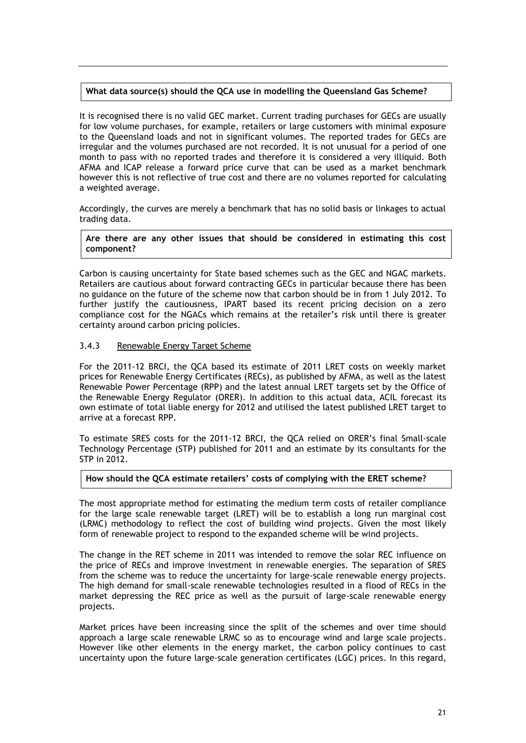#### **What data source(s) should the QCA use in modelling the Queensland Gas Scheme?**

It is recognised there is no valid GEC market. Current trading purchases for GECs are usually for low volume purchases, for example, retailers or large customers with minimal exposure to the Queensland loads and not in significant volumes. The reported trades for GECs are irregular and the volumes purchased are not recorded. It is not unusual for a period of one month to pass with no reported trades and therefore it is considered a very illiquid. Both AFMA and ICAP release a forward price curve that can be used as a market benchmark however this is not reflective of true cost and there are no volumes reported for calculating a weighted average.

Accordingly, the curves are merely a benchmark that has no solid basis or linkages to actual trading data.

**Are there are any other issues that should be considered in estimating this cost component?**

Carbon is causing uncertainty for State based schemes such as the GEC and NGAC markets. Retailers are cautious about forward contracting GECs in particular because there has been no guidance on the future of the scheme now that carbon should be in from 1 July 2012. To further justify the cautiousness, IPART based its recent pricing decision on a zero compliance cost for the NGACs which remains at the retailer's risk until there is greater certainty around carbon pricing policies.

#### <span id="page-23-0"></span>3.4.3 Renewable Energy Target Scheme

For the 2011-12 BRCI, the QCA based its estimate of 2011 LRET costs on weekly market prices for Renewable Energy Certificates (RECs), as published by AFMA, as well as the latest Renewable Power Percentage (RPP) and the latest annual LRET targets set by the Office of the Renewable Energy Regulator (ORER). In addition to this actual data, ACIL forecast its own estimate of total liable energy for 2012 and utilised the latest published LRET target to arrive at a forecast RPP.

To estimate SRES costs for the 2011-12 BRCI, the QCA relied on ORER's final Small-scale Technology Percentage (STP) published for 2011 and an estimate by its consultants for the STP in 2012.

#### **How should the QCA estimate retailers' costs of complying with the ERET scheme?**

The most appropriate method for estimating the medium term costs of retailer compliance for the large scale renewable target (LRET) will be to establish a long run marginal cost (LRMC) methodology to reflect the cost of building wind projects. Given the most likely form of renewable project to respond to the expanded scheme will be wind projects.

The change in the RET scheme in 2011 was intended to remove the solar REC influence on the price of RECs and improve investment in renewable energies. The separation of SRES from the scheme was to reduce the uncertainty for large-scale renewable energy projects. The high demand for small-scale renewable technologies resulted in a flood of RECs in the market depressing the REC price as well as the pursuit of large-scale renewable energy projects.

Market prices have been increasing since the split of the schemes and over time should approach a large scale renewable LRMC so as to encourage wind and large scale projects. However like other elements in the energy market, the carbon policy continues to cast uncertainty upon the future large-scale generation certificates (LGC) prices. In this regard,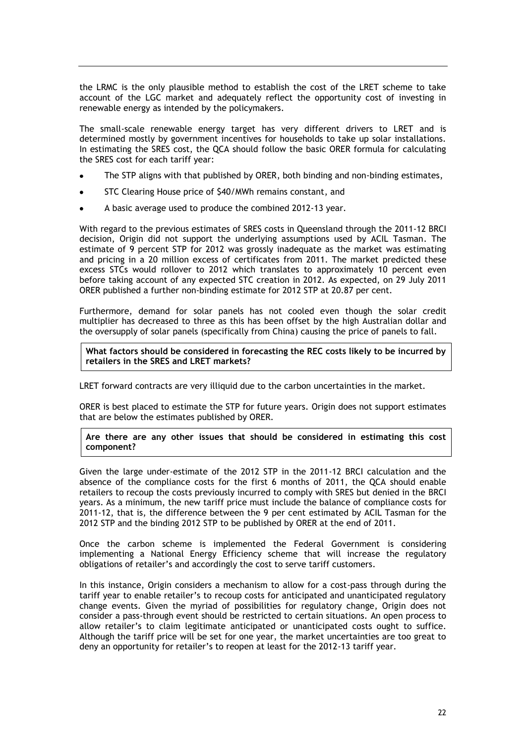the LRMC is the only plausible method to establish the cost of the LRET scheme to take account of the LGC market and adequately reflect the opportunity cost of investing in renewable energy as intended by the policymakers.

The small-scale renewable energy target has very different drivers to LRET and is determined mostly by government incentives for households to take up solar installations. In estimating the SRES cost, the QCA should follow the basic ORER formula for calculating the SRES cost for each tariff year:

- The STP aligns with that published by ORER, both binding and non-binding estimates,
- STC Clearing House price of \$40/MWh remains constant, and
- A basic average used to produce the combined 2012-13 year.

With regard to the previous estimates of SRES costs in Queensland through the 2011-12 BRCI decision, Origin did not support the underlying assumptions used by ACIL Tasman. The estimate of 9 percent STP for 2012 was grossly inadequate as the market was estimating and pricing in a 20 million excess of certificates from 2011. The market predicted these excess STCs would rollover to 2012 which translates to approximately 10 percent even before taking account of any expected STC creation in 2012. As expected, on 29 July 2011 ORER published a further non-binding estimate for 2012 STP at 20.87 per cent.

Furthermore, demand for solar panels has not cooled even though the solar credit multiplier has decreased to three as this has been offset by the high Australian dollar and the oversupply of solar panels (specifically from China) causing the price of panels to fall.

**What factors should be considered in forecasting the REC costs likely to be incurred by retailers in the SRES and LRET markets?**

LRET forward contracts are very illiquid due to the carbon uncertainties in the market.

ORER is best placed to estimate the STP for future years. Origin does not support estimates that are below the estimates published by ORER.

#### **Are there are any other issues that should be considered in estimating this cost component?**

Given the large under-estimate of the 2012 STP in the 2011-12 BRCI calculation and the absence of the compliance costs for the first 6 months of 2011, the QCA should enable retailers to recoup the costs previously incurred to comply with SRES but denied in the BRCI years. As a minimum, the new tariff price must include the balance of compliance costs for 2011-12, that is, the difference between the 9 per cent estimated by ACIL Tasman for the 2012 STP and the binding 2012 STP to be published by ORER at the end of 2011.

Once the carbon scheme is implemented the Federal Government is considering implementing a National Energy Efficiency scheme that will increase the regulatory obligations of retailer's and accordingly the cost to serve tariff customers.

In this instance, Origin considers a mechanism to allow for a cost-pass through during the tariff year to enable retailer's to recoup costs for anticipated and unanticipated regulatory change events. Given the myriad of possibilities for regulatory change, Origin does not consider a pass-through event should be restricted to certain situations. An open process to allow retailer's to claim legitimate anticipated or unanticipated costs ought to suffice. Although the tariff price will be set for one year, the market uncertainties are too great to deny an opportunity for retailer's to reopen at least for the 2012-13 tariff year.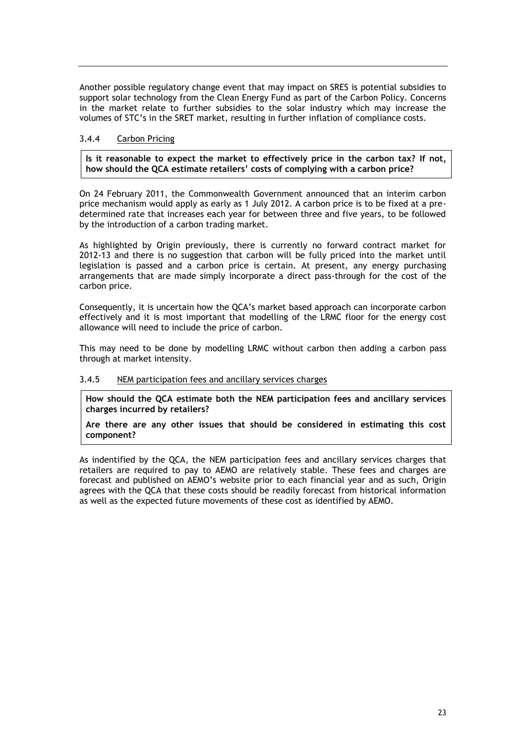Another possible regulatory change event that may impact on SRES is potential subsidies to support solar technology from the Clean Energy Fund as part of the Carbon Policy. Concerns in the market relate to further subsidies to the solar industry which may increase the volumes of STC's in the SRET market, resulting in further inflation of compliance costs.

#### <span id="page-25-0"></span>3.4.4 Carbon Pricing

**Is it reasonable to expect the market to effectively price in the carbon tax? If not, how should the QCA estimate retailers' costs of complying with a carbon price?**

On 24 February 2011, the Commonwealth Government announced that an interim carbon price mechanism would apply as early as 1 July 2012. A carbon price is to be fixed at a predetermined rate that increases each year for between three and five years, to be followed by the introduction of a carbon trading market.

As highlighted by Origin previously, there is currently no forward contract market for 2012-13 and there is no suggestion that carbon will be fully priced into the market until legislation is passed and a carbon price is certain. At present, any energy purchasing arrangements that are made simply incorporate a direct pass-through for the cost of the carbon price.

Consequently, it is uncertain how the QCA's market based approach can incorporate carbon effectively and it is most important that modelling of the LRMC floor for the energy cost allowance will need to include the price of carbon.

This may need to be done by modelling LRMC without carbon then adding a carbon pass through at market intensity.

#### <span id="page-25-1"></span>3.4.5 NEM participation fees and ancillary services charges

**How should the QCA estimate both the NEM participation fees and ancillary services charges incurred by retailers?**

**Are there are any other issues that should be considered in estimating this cost component?**

As indentified by the QCA, the NEM participation fees and ancillary services charges that retailers are required to pay to AEMO are relatively stable. These fees and charges are forecast and published on AEMO's website prior to each financial year and as such, Origin agrees with the QCA that these costs should be readily forecast from historical information as well as the expected future movements of these cost as identified by AEMO.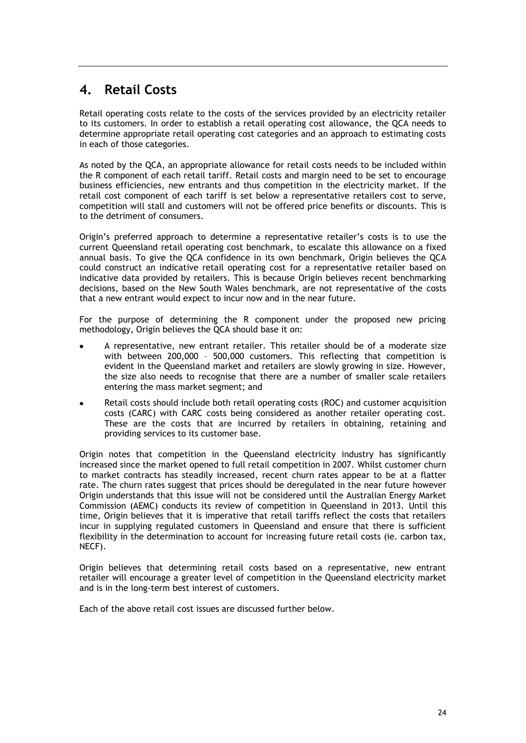## <span id="page-26-0"></span>**4. Retail Costs**

Retail operating costs relate to the costs of the services provided by an electricity retailer to its customers. In order to establish a retail operating cost allowance, the QCA needs to determine appropriate retail operating cost categories and an approach to estimating costs in each of those categories.

As noted by the QCA, an appropriate allowance for retail costs needs to be included within the R component of each retail tariff. Retail costs and margin need to be set to encourage business efficiencies, new entrants and thus competition in the electricity market. If the retail cost component of each tariff is set below a representative retailers cost to serve, competition will stall and customers will not be offered price benefits or discounts. This is to the detriment of consumers.

Origin's preferred approach to determine a representative retailer's costs is to use the current Queensland retail operating cost benchmark, to escalate this allowance on a fixed annual basis. To give the QCA confidence in its own benchmark, Origin believes the QCA could construct an indicative retail operating cost for a representative retailer based on indicative data provided by retailers. This is because Origin believes recent benchmarking decisions, based on the New South Wales benchmark, are not representative of the costs that a new entrant would expect to incur now and in the near future.

For the purpose of determining the R component under the proposed new pricing methodology, Origin believes the QCA should base it on:

- A representative, new entrant retailer. This retailer should be of a moderate size with between 200,000 – 500,000 customers. This reflecting that competition is evident in the Queensland market and retailers are slowly growing in size. However, the size also needs to recognise that there are a number of smaller scale retailers entering the mass market segment; and
- Retail costs should include both retail operating costs (ROC) and customer acquisition costs (CARC) with CARC costs being considered as another retailer operating cost. These are the costs that are incurred by retailers in obtaining, retaining and providing services to its customer base.

Origin notes that competition in the Queensland electricity industry has significantly increased since the market opened to full retail competition in 2007. Whilst customer churn to market contracts has steadily increased, recent churn rates appear to be at a flatter rate. The churn rates suggest that prices should be deregulated in the near future however Origin understands that this issue will not be considered until the Australian Energy Market Commission (AEMC) conducts its review of competition in Queensland in 2013. Until this time, Origin believes that it is imperative that retail tariffs reflect the costs that retailers incur in supplying regulated customers in Queensland and ensure that there is sufficient flexibility in the determination to account for increasing future retail costs (ie. carbon tax, NECF).

Origin believes that determining retail costs based on a representative, new entrant retailer will encourage a greater level of competition in the Queensland electricity market and is in the long-term best interest of customers.

Each of the above retail cost issues are discussed further below.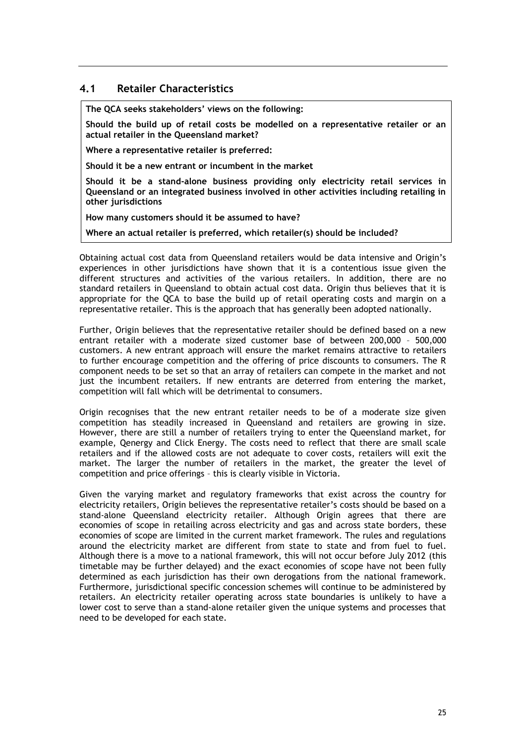### <span id="page-27-0"></span>**4.1 Retailer Characteristics**

**The QCA seeks stakeholders' views on the following:**

**Should the build up of retail costs be modelled on a representative retailer or an actual retailer in the Queensland market?**

**Where a representative retailer is preferred:**

**Should it be a new entrant or incumbent in the market**

**Should it be a stand-alone business providing only electricity retail services in Queensland or an integrated business involved in other activities including retailing in other jurisdictions**

**How many customers should it be assumed to have?**

**Where an actual retailer is preferred, which retailer(s) should be included?**

Obtaining actual cost data from Queensland retailers would be data intensive and Origin's experiences in other jurisdictions have shown that it is a contentious issue given the different structures and activities of the various retailers. In addition, there are no standard retailers in Queensland to obtain actual cost data. Origin thus believes that it is appropriate for the QCA to base the build up of retail operating costs and margin on a representative retailer. This is the approach that has generally been adopted nationally.

Further, Origin believes that the representative retailer should be defined based on a new entrant retailer with a moderate sized customer base of between 200,000 – 500,000 customers. A new entrant approach will ensure the market remains attractive to retailers to further encourage competition and the offering of price discounts to consumers. The R component needs to be set so that an array of retailers can compete in the market and not just the incumbent retailers. If new entrants are deterred from entering the market, competition will fall which will be detrimental to consumers.

Origin recognises that the new entrant retailer needs to be of a moderate size given competition has steadily increased in Queensland and retailers are growing in size. However, there are still a number of retailers trying to enter the Queensland market, for example, Qenergy and Click Energy. The costs need to reflect that there are small scale retailers and if the allowed costs are not adequate to cover costs, retailers will exit the market. The larger the number of retailers in the market, the greater the level of competition and price offerings – this is clearly visible in Victoria.

Given the varying market and regulatory frameworks that exist across the country for electricity retailers, Origin believes the representative retailer's costs should be based on a stand-alone Queensland electricity retailer. Although Origin agrees that there are economies of scope in retailing across electricity and gas and across state borders, these economies of scope are limited in the current market framework. The rules and regulations around the electricity market are different from state to state and from fuel to fuel. Although there is a move to a national framework, this will not occur before July 2012 (this timetable may be further delayed) and the exact economies of scope have not been fully determined as each jurisdiction has their own derogations from the national framework. Furthermore, jurisdictional specific concession schemes will continue to be administered by retailers. An electricity retailer operating across state boundaries is unlikely to have a lower cost to serve than a stand-alone retailer given the unique systems and processes that need to be developed for each state.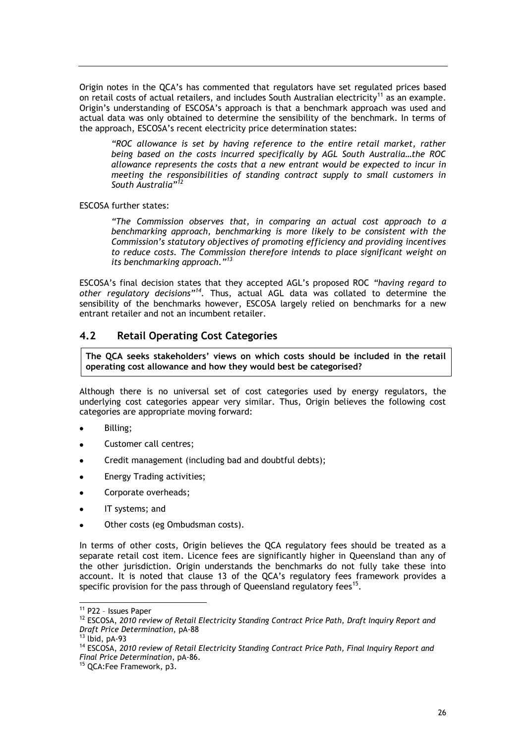Origin notes in the QCA's has commented that regulators have set regulated prices based on retail costs of actual retailers, and includes South Australian electricity<sup>11</sup> as an example. Origin's understanding of ESCOSA's approach is that a benchmark approach was used and actual data was only obtained to determine the sensibility of the benchmark. In terms of the approach, ESCOSA's recent electricity price determination states:

*"ROC allowance is set by having reference to the entire retail market, rather being based on the costs incurred specifically by AGL South Australia…the ROC allowance represents the costs that a new entrant would be expected to incur in meeting the responsibilities of standing contract supply to small customers in South Australia"<sup>12</sup>*

#### ESCOSA further states:

*"The Commission observes that, in comparing an actual cost approach to a benchmarking approach, benchmarking is more likely to be consistent with the Commission's statutory objectives of promoting efficiency and providing incentives to reduce costs. The Commission therefore intends to place significant weight on its benchmarking approach."<sup>13</sup>*

ESCOSA's final decision states that they accepted AGL's proposed ROC *"having regard to other regulatory decisions"<sup>14</sup> .* Thus, actual AGL data was collated to determine the sensibility of the benchmarks however, ESCOSA largely relied on benchmarks for a new entrant retailer and not an incumbent retailer.

### <span id="page-28-0"></span>**4.2 Retail Operating Cost Categories**

**The QCA seeks stakeholders' views on which costs should be included in the retail operating cost allowance and how they would best be categorised?**

Although there is no universal set of cost categories used by energy regulators, the underlying cost categories appear very similar. Thus, Origin believes the following cost categories are appropriate moving forward:

- Billing;
- Customer call centres;
- Credit management (including bad and doubtful debts);
- Energy Trading activities;
- Corporate overheads;
- IT systems; and  $\bullet$
- Other costs (eg Ombudsman costs).

In terms of other costs, Origin believes the QCA regulatory fees should be treated as a separate retail cost item. Licence fees are significantly higher in Queensland than any of the other jurisdiction. Origin understands the benchmarks do not fully take these into account. It is noted that clause 13 of the QCA's regulatory fees framework provides a specific provision for the pass through of Queensland regulatory fees<sup>15</sup>.

 $\overline{a}$ 

<sup>11</sup> P22 – Issues Paper

<sup>&</sup>lt;sup>12</sup> ESCOSA, 2010 review of Retail Electricity Standing Contract Price Path, Draft Inquiry Report and *Draft Price Determination*, pA-88

 $13$  lbid, pA-93

<sup>14</sup> ESCOSA, *2010 review of Retail Electricity Standing Contract Price Path, Final Inquiry Report and Final Price Determination*, pA-86.

<sup>&</sup>lt;sup>15</sup> QCA:Fee Framework, p3.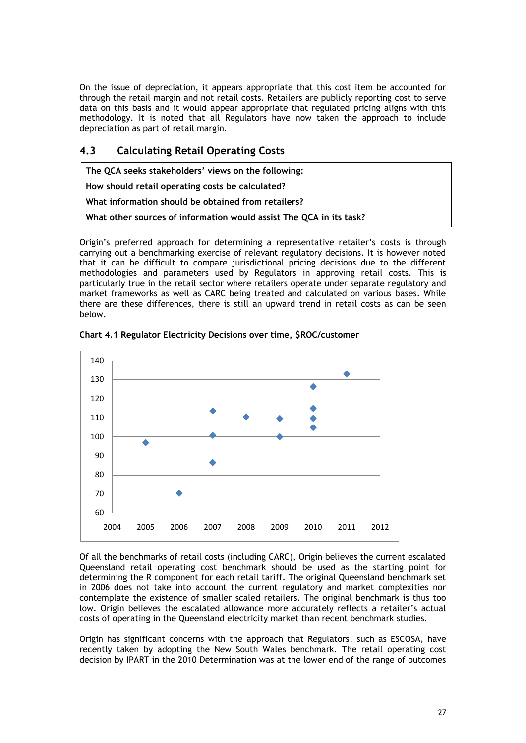On the issue of depreciation, it appears appropriate that this cost item be accounted for through the retail margin and not retail costs. Retailers are publicly reporting cost to serve data on this basis and it would appear appropriate that regulated pricing aligns with this methodology. It is noted that all Regulators have now taken the approach to include depreciation as part of retail margin.

## <span id="page-29-0"></span>**4.3 Calculating Retail Operating Costs**

**The QCA seeks stakeholders' views on the following: How should retail operating costs be calculated? What information should be obtained from retailers? What other sources of information would assist The QCA in its task?**

Origin's preferred approach for determining a representative retailer's costs is through carrying out a benchmarking exercise of relevant regulatory decisions. It is however noted that it can be difficult to compare jurisdictional pricing decisions due to the different methodologies and parameters used by Regulators in approving retail costs. This is particularly true in the retail sector where retailers operate under separate regulatory and market frameworks as well as CARC being treated and calculated on various bases. While there are these differences, there is still an upward trend in retail costs as can be seen below.



**Chart 4.1 Regulator Electricity Decisions over time, \$ROC/customer**

Of all the benchmarks of retail costs (including CARC), Origin believes the current escalated Queensland retail operating cost benchmark should be used as the starting point for determining the R component for each retail tariff. The original Queensland benchmark set in 2006 does not take into account the current regulatory and market complexities nor contemplate the existence of smaller scaled retailers. The original benchmark is thus too low. Origin believes the escalated allowance more accurately reflects a retailer's actual costs of operating in the Queensland electricity market than recent benchmark studies.

Origin has significant concerns with the approach that Regulators, such as ESCOSA, have recently taken by adopting the New South Wales benchmark. The retail operating cost decision by IPART in the 2010 Determination was at the lower end of the range of outcomes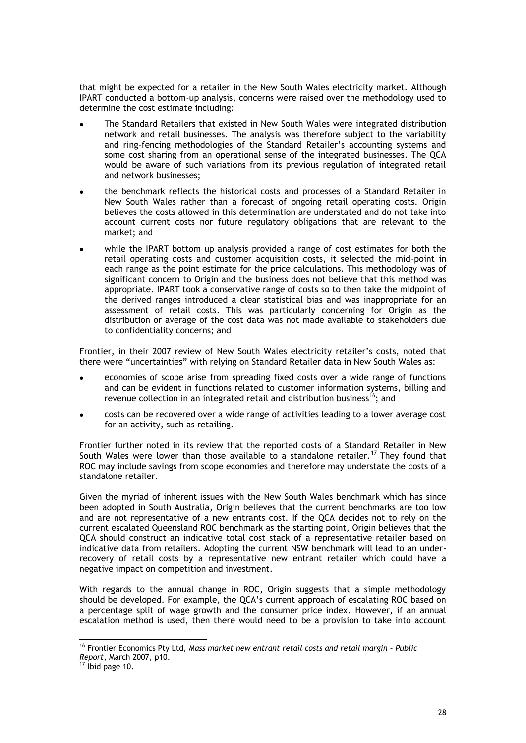that might be expected for a retailer in the New South Wales electricity market. Although IPART conducted a bottom-up analysis, concerns were raised over the methodology used to determine the cost estimate including:

- The Standard Retailers that existed in New South Wales were integrated distribution network and retail businesses. The analysis was therefore subject to the variability and ring-fencing methodologies of the Standard Retailer's accounting systems and some cost sharing from an operational sense of the integrated businesses. The QCA would be aware of such variations from its previous regulation of integrated retail and network businesses;
- the benchmark reflects the historical costs and processes of a Standard Retailer in  $\bullet$ New South Wales rather than a forecast of ongoing retail operating costs. Origin believes the costs allowed in this determination are understated and do not take into account current costs nor future regulatory obligations that are relevant to the market; and
- while the IPART bottom up analysis provided a range of cost estimates for both the retail operating costs and customer acquisition costs, it selected the mid-point in each range as the point estimate for the price calculations. This methodology was of significant concern to Origin and the business does not believe that this method was appropriate. IPART took a conservative range of costs so to then take the midpoint of the derived ranges introduced a clear statistical bias and was inappropriate for an assessment of retail costs. This was particularly concerning for Origin as the distribution or average of the cost data was not made available to stakeholders due to confidentiality concerns; and

Frontier, in their 2007 review of New South Wales electricity retailer's costs, noted that there were "uncertainties" with relying on Standard Retailer data in New South Wales as:

- economies of scope arise from spreading fixed costs over a wide range of functions and can be evident in functions related to customer information systems, billing and revenue collection in an integrated retail and distribution business<sup>16</sup>; and
- costs can be recovered over a wide range of activities leading to a lower average cost for an activity, such as retailing.

Frontier further noted in its review that the reported costs of a Standard Retailer in New South Wales were lower than those available to a standalone retailer.<sup>17</sup> They found that ROC may include savings from scope economies and therefore may understate the costs of a standalone retailer.

Given the myriad of inherent issues with the New South Wales benchmark which has since been adopted in South Australia, Origin believes that the current benchmarks are too low and are not representative of a new entrants cost. If the QCA decides not to rely on the current escalated Queensland ROC benchmark as the starting point, Origin believes that the QCA should construct an indicative total cost stack of a representative retailer based on indicative data from retailers. Adopting the current NSW benchmark will lead to an underrecovery of retail costs by a representative new entrant retailer which could have a negative impact on competition and investment.

With regards to the annual change in ROC, Origin suggests that a simple methodology should be developed. For example, the QCA's current approach of escalating ROC based on a percentage split of wage growth and the consumer price index. However, if an annual escalation method is used, then there would need to be a provision to take into account

1

<sup>16</sup> Frontier Economics Pty Ltd, *Mass market new entrant retail costs and retail margin – Public Report*, March 2007, p10.

 $17$  lbid page 10.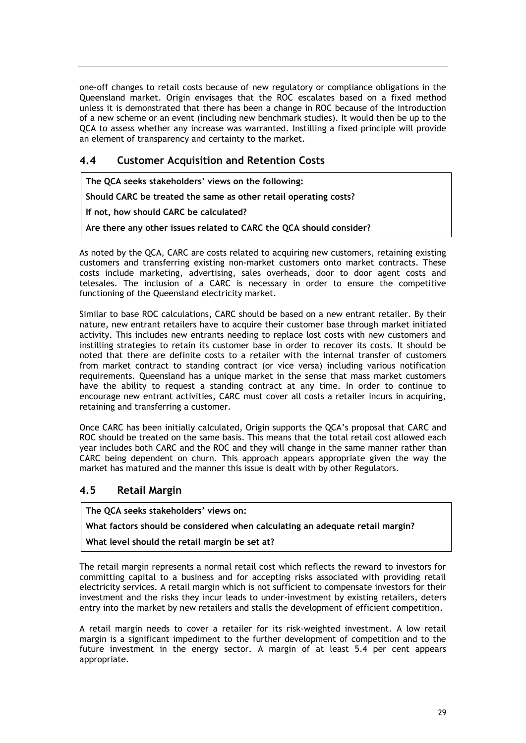one-off changes to retail costs because of new regulatory or compliance obligations in the Queensland market. Origin envisages that the ROC escalates based on a fixed method unless it is demonstrated that there has been a change in ROC because of the introduction of a new scheme or an event (including new benchmark studies). It would then be up to the QCA to assess whether any increase was warranted. Instilling a fixed principle will provide an element of transparency and certainty to the market.

## <span id="page-31-0"></span>**4.4 Customer Acquisition and Retention Costs**

**The QCA seeks stakeholders' views on the following: Should CARC be treated the same as other retail operating costs? If not, how should CARC be calculated? Are there any other issues related to CARC the QCA should consider?**

As noted by the QCA, CARC are costs related to acquiring new customers, retaining existing customers and transferring existing non-market customers onto market contracts. These costs include marketing, advertising, sales overheads, door to door agent costs and telesales. The inclusion of a CARC is necessary in order to ensure the competitive functioning of the Queensland electricity market.

Similar to base ROC calculations, CARC should be based on a new entrant retailer. By their nature, new entrant retailers have to acquire their customer base through market initiated activity. This includes new entrants needing to replace lost costs with new customers and instilling strategies to retain its customer base in order to recover its costs. It should be noted that there are definite costs to a retailer with the internal transfer of customers from market contract to standing contract (or vice versa) including various notification requirements. Queensland has a unique market in the sense that mass market customers have the ability to request a standing contract at any time. In order to continue to encourage new entrant activities, CARC must cover all costs a retailer incurs in acquiring, retaining and transferring a customer.

Once CARC has been initially calculated, Origin supports the QCA's proposal that CARC and ROC should be treated on the same basis. This means that the total retail cost allowed each year includes both CARC and the ROC and they will change in the same manner rather than CARC being dependent on churn. This approach appears appropriate given the way the market has matured and the manner this issue is dealt with by other Regulators.

## <span id="page-31-1"></span>**4.5 Retail Margin**

**The QCA seeks stakeholders' views on:**

**What factors should be considered when calculating an adequate retail margin?**

**What level should the retail margin be set at?**

The retail margin represents a normal retail cost which reflects the reward to investors for committing capital to a business and for accepting risks associated with providing retail electricity services. A retail margin which is not sufficient to compensate investors for their investment and the risks they incur leads to under-investment by existing retailers, deters entry into the market by new retailers and stalls the development of efficient competition.

A retail margin needs to cover a retailer for its risk-weighted investment. A low retail margin is a significant impediment to the further development of competition and to the future investment in the energy sector. A margin of at least 5.4 per cent appears appropriate.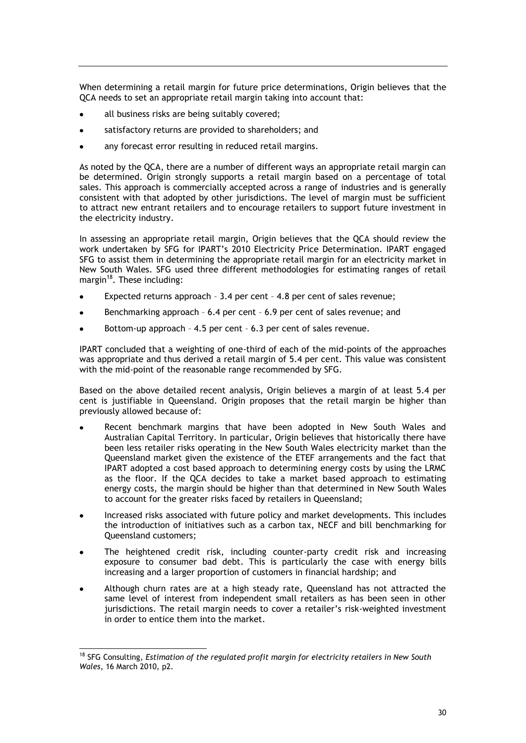When determining a retail margin for future price determinations, Origin believes that the QCA needs to set an appropriate retail margin taking into account that:

- all business risks are being suitably covered;
- satisfactory returns are provided to shareholders; and
- any forecast error resulting in reduced retail margins.

As noted by the QCA, there are a number of different ways an appropriate retail margin can be determined. Origin strongly supports a retail margin based on a percentage of total sales. This approach is commercially accepted across a range of industries and is generally consistent with that adopted by other jurisdictions. The level of margin must be sufficient to attract new entrant retailers and to encourage retailers to support future investment in the electricity industry.

In assessing an appropriate retail margin, Origin believes that the QCA should review the work undertaken by SFG for IPART's 2010 Electricity Price Determination. IPART engaged SFG to assist them in determining the appropriate retail margin for an electricity market in New South Wales. SFG used three different methodologies for estimating ranges of retail margin $^{18}$ . These including:

- Expected returns approach 3.4 per cent 4.8 per cent of sales revenue;
- Benchmarking approach 6.4 per cent 6.9 per cent of sales revenue; and
- Bottom-up approach 4.5 per cent 6.3 per cent of sales revenue.

IPART concluded that a weighting of one-third of each of the mid-points of the approaches was appropriate and thus derived a retail margin of 5.4 per cent. This value was consistent with the mid-point of the reasonable range recommended by SFG.

Based on the above detailed recent analysis, Origin believes a margin of at least 5.4 per cent is justifiable in Queensland. Origin proposes that the retail margin be higher than previously allowed because of:

- Recent benchmark margins that have been adopted in New South Wales and Australian Capital Territory. In particular, Origin believes that historically there have been less retailer risks operating in the New South Wales electricity market than the Queensland market given the existence of the ETEF arrangements and the fact that IPART adopted a cost based approach to determining energy costs by using the LRMC as the floor. If the QCA decides to take a market based approach to estimating energy costs, the margin should be higher than that determined in New South Wales to account for the greater risks faced by retailers in Queensland;
- Increased risks associated with future policy and market developments. This includes the introduction of initiatives such as a carbon tax, NECF and bill benchmarking for Queensland customers;
- The heightened credit risk, including counter-party credit risk and increasing exposure to consumer bad debt. This is particularly the case with energy bills increasing and a larger proportion of customers in financial hardship; and
- Although churn rates are at a high steady rate, Queensland has not attracted the same level of interest from independent small retailers as has been seen in other jurisdictions. The retail margin needs to cover a retailer's risk-weighted investment in order to entice them into the market.

-

<sup>18</sup> SFG Consulting, *Estimation of the regulated profit margin for electricity retailers in New South Wales*, 16 March 2010, p2.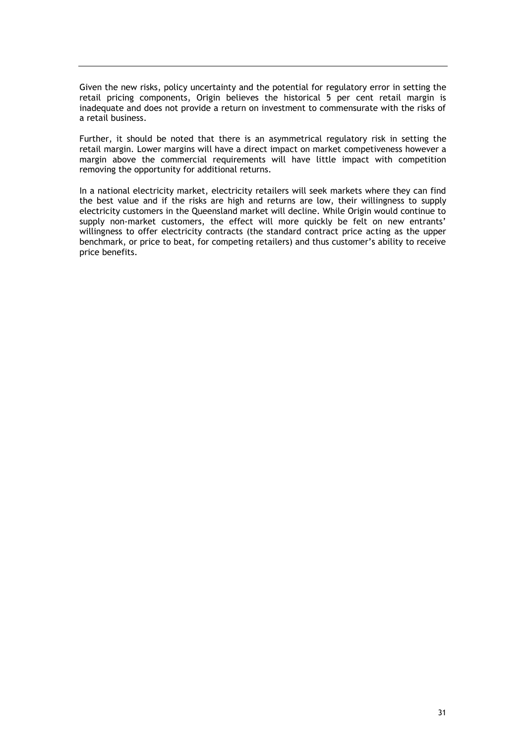Given the new risks, policy uncertainty and the potential for regulatory error in setting the retail pricing components, Origin believes the historical 5 per cent retail margin is inadequate and does not provide a return on investment to commensurate with the risks of a retail business.

Further, it should be noted that there is an asymmetrical regulatory risk in setting the retail margin. Lower margins will have a direct impact on market competiveness however a margin above the commercial requirements will have little impact with competition removing the opportunity for additional returns.

In a national electricity market, electricity retailers will seek markets where they can find the best value and if the risks are high and returns are low, their willingness to supply electricity customers in the Queensland market will decline. While Origin would continue to supply non-market customers, the effect will more quickly be felt on new entrants' willingness to offer electricity contracts (the standard contract price acting as the upper benchmark, or price to beat, for competing retailers) and thus customer's ability to receive price benefits.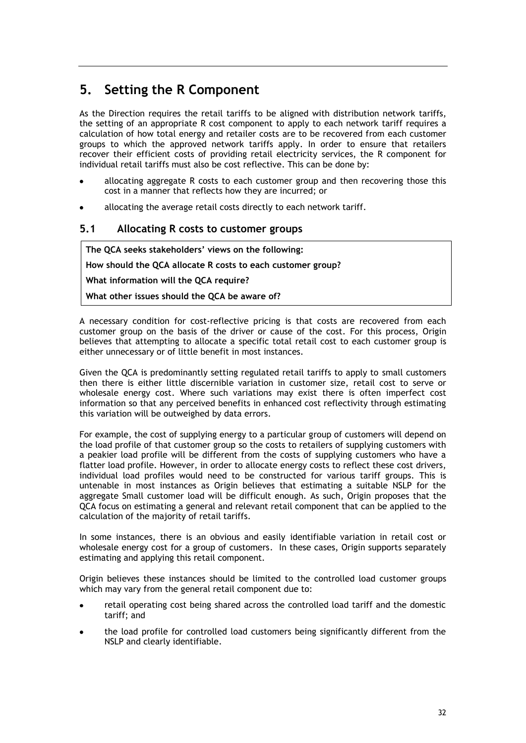## <span id="page-34-0"></span>**5. Setting the R Component**

As the Direction requires the retail tariffs to be aligned with distribution network tariffs, the setting of an appropriate R cost component to apply to each network tariff requires a calculation of how total energy and retailer costs are to be recovered from each customer groups to which the approved network tariffs apply. In order to ensure that retailers recover their efficient costs of providing retail electricity services, the R component for individual retail tariffs must also be cost reflective. This can be done by:

- allocating aggregate R costs to each customer group and then recovering those this cost in a manner that reflects how they are incurred; or
- allocating the average retail costs directly to each network tariff.

## <span id="page-34-1"></span>**5.1 Allocating R costs to customer groups**

**The QCA seeks stakeholders' views on the following:**

**How should the QCA allocate R costs to each customer group?**

**What information will the QCA require?**

**What other issues should the QCA be aware of?**

A necessary condition for cost-reflective pricing is that costs are recovered from each customer group on the basis of the driver or cause of the cost. For this process, Origin believes that attempting to allocate a specific total retail cost to each customer group is either unnecessary or of little benefit in most instances.

Given the QCA is predominantly setting regulated retail tariffs to apply to small customers then there is either little discernible variation in customer size, retail cost to serve or wholesale energy cost. Where such variations may exist there is often imperfect cost information so that any perceived benefits in enhanced cost reflectivity through estimating this variation will be outweighed by data errors.

For example, the cost of supplying energy to a particular group of customers will depend on the load profile of that customer group so the costs to retailers of supplying customers with a peakier load profile will be different from the costs of supplying customers who have a flatter load profile. However, in order to allocate energy costs to reflect these cost drivers, individual load profiles would need to be constructed for various tariff groups. This is untenable in most instances as Origin believes that estimating a suitable NSLP for the aggregate Small customer load will be difficult enough. As such, Origin proposes that the QCA focus on estimating a general and relevant retail component that can be applied to the calculation of the majority of retail tariffs.

In some instances, there is an obvious and easily identifiable variation in retail cost or wholesale energy cost for a group of customers. In these cases, Origin supports separately estimating and applying this retail component.

Origin believes these instances should be limited to the controlled load customer groups which may vary from the general retail component due to:

- retail operating cost being shared across the controlled load tariff and the domestic tariff; and
- the load profile for controlled load customers being significantly different from the NSLP and clearly identifiable.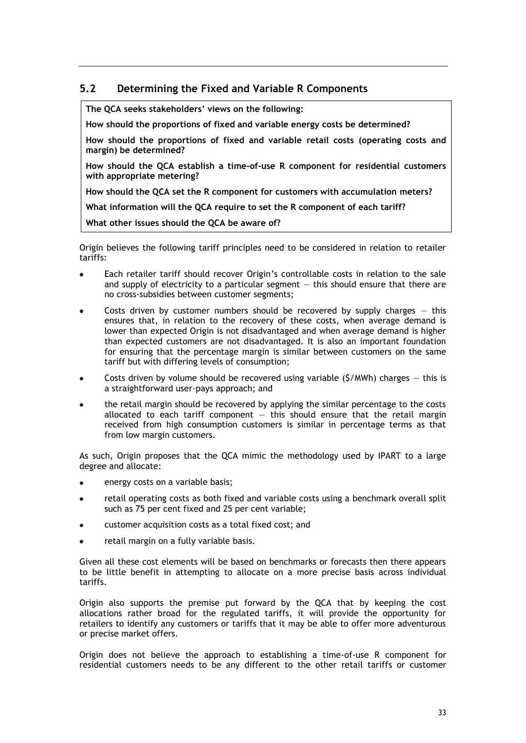## <span id="page-35-0"></span>**5.2 Determining the Fixed and Variable R Components**

**The QCA seeks stakeholders' views on the following:**

**How should the proportions of fixed and variable energy costs be determined?**

**How should the proportions of fixed and variable retail costs (operating costs and margin) be determined?**

**How should the QCA establish a time-of-use R component for residential customers with appropriate metering?**

**How should the QCA set the R component for customers with accumulation meters?**

**What information will the QCA require to set the R component of each tariff?**

**What other issues should the QCA be aware of?**

Origin believes the following tariff principles need to be considered in relation to retailer tariffs:

- Each retailer tariff should recover Origin's controllable costs in relation to the sale and supply of electricity to a particular segment  $-$  this should ensure that there are no cross-subsidies between customer segments;
- Costs driven by customer numbers should be recovered by supply charges  $-$  this ensures that, in relation to the recovery of these costs, when average demand is lower than expected Origin is not disadvantaged and when average demand is higher than expected customers are not disadvantaged. It is also an important foundation for ensuring that the percentage margin is similar between customers on the same tariff but with differing levels of consumption;
- Costs driven by volume should be recovered using variable (\$/MWh) charges  $-$  this is a straightforward user-pays approach; and
- the retail margin should be recovered by applying the similar percentage to the costs allocated to each tariff component  $-$  this should ensure that the retail margin received from high consumption customers is similar in percentage terms as that from low margin customers.

As such, Origin proposes that the QCA mimic the methodology used by IPART to a large degree and allocate:

- energy costs on a variable basis;
- retail operating costs as both fixed and variable costs using a benchmark overall split such as 75 per cent fixed and 25 per cent variable;
- customer acquisition costs as a total fixed cost; and
- retail margin on a fully variable basis.

Given all these cost elements will be based on benchmarks or forecasts then there appears to be little benefit in attempting to allocate on a more precise basis across individual tariffs.

Origin also supports the premise put forward by the QCA that by keeping the cost allocations rather broad for the regulated tariffs, it will provide the opportunity for retailers to identify any customers or tariffs that it may be able to offer more adventurous or precise market offers.

Origin does not believe the approach to establishing a time-of-use R component for residential customers needs to be any different to the other retail tariffs or customer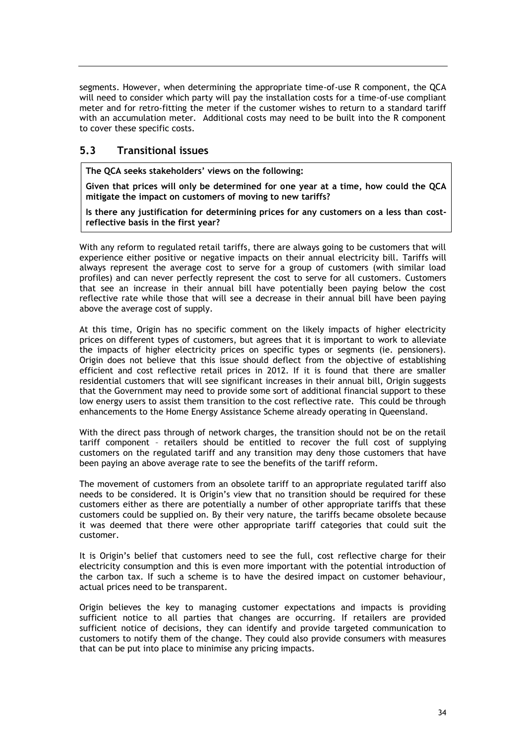segments. However, when determining the appropriate time-of-use R component, the QCA will need to consider which party will pay the installation costs for a time-of-use compliant meter and for retro-fitting the meter if the customer wishes to return to a standard tariff with an accumulation meter. Additional costs may need to be built into the R component to cover these specific costs.

### <span id="page-36-0"></span>**5.3 Transitional issues**

**The QCA seeks stakeholders' views on the following:**

**Given that prices will only be determined for one year at a time, how could the QCA mitigate the impact on customers of moving to new tariffs?**

**Is there any justification for determining prices for any customers on a less than costreflective basis in the first year?**

With any reform to regulated retail tariffs, there are always going to be customers that will experience either positive or negative impacts on their annual electricity bill. Tariffs will always represent the average cost to serve for a group of customers (with similar load profiles) and can never perfectly represent the cost to serve for all customers. Customers that see an increase in their annual bill have potentially been paying below the cost reflective rate while those that will see a decrease in their annual bill have been paying above the average cost of supply.

At this time, Origin has no specific comment on the likely impacts of higher electricity prices on different types of customers, but agrees that it is important to work to alleviate the impacts of higher electricity prices on specific types or segments (ie. pensioners). Origin does not believe that this issue should deflect from the objective of establishing efficient and cost reflective retail prices in 2012. If it is found that there are smaller residential customers that will see significant increases in their annual bill, Origin suggests that the Government may need to provide some sort of additional financial support to these low energy users to assist them transition to the cost reflective rate. This could be through enhancements to the Home Energy Assistance Scheme already operating in Queensland.

With the direct pass through of network charges, the transition should not be on the retail tariff component – retailers should be entitled to recover the full cost of supplying customers on the regulated tariff and any transition may deny those customers that have been paying an above average rate to see the benefits of the tariff reform.

The movement of customers from an obsolete tariff to an appropriate regulated tariff also needs to be considered. It is Origin's view that no transition should be required for these customers either as there are potentially a number of other appropriate tariffs that these customers could be supplied on. By their very nature, the tariffs became obsolete because it was deemed that there were other appropriate tariff categories that could suit the customer.

It is Origin's belief that customers need to see the full, cost reflective charge for their electricity consumption and this is even more important with the potential introduction of the carbon tax. If such a scheme is to have the desired impact on customer behaviour, actual prices need to be transparent.

Origin believes the key to managing customer expectations and impacts is providing sufficient notice to all parties that changes are occurring. If retailers are provided sufficient notice of decisions, they can identify and provide targeted communication to customers to notify them of the change. They could also provide consumers with measures that can be put into place to minimise any pricing impacts.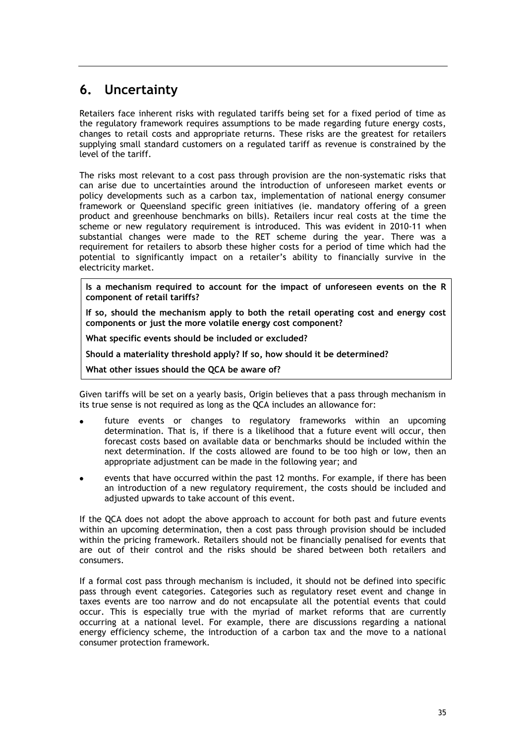## <span id="page-37-0"></span>**6. Uncertainty**

Retailers face inherent risks with regulated tariffs being set for a fixed period of time as the regulatory framework requires assumptions to be made regarding future energy costs, changes to retail costs and appropriate returns. These risks are the greatest for retailers supplying small standard customers on a regulated tariff as revenue is constrained by the level of the tariff.

The risks most relevant to a cost pass through provision are the non-systematic risks that can arise due to uncertainties around the introduction of unforeseen market events or policy developments such as a carbon tax, implementation of national energy consumer framework or Queensland specific green initiatives (ie. mandatory offering of a green product and greenhouse benchmarks on bills). Retailers incur real costs at the time the scheme or new regulatory requirement is introduced. This was evident in 2010-11 when substantial changes were made to the RET scheme during the year. There was a requirement for retailers to absorb these higher costs for a period of time which had the potential to significantly impact on a retailer's ability to financially survive in the electricity market.

**Is a mechanism required to account for the impact of unforeseen events on the R component of retail tariffs?**

**If so, should the mechanism apply to both the retail operating cost and energy cost components or just the more volatile energy cost component?**

**What specific events should be included or excluded?**

**Should a materiality threshold apply? If so, how should it be determined?**

**What other issues should the QCA be aware of?**

Given tariffs will be set on a yearly basis, Origin believes that a pass through mechanism in its true sense is not required as long as the QCA includes an allowance for:

- future events or changes to regulatory frameworks within an upcoming determination. That is, if there is a likelihood that a future event will occur, then forecast costs based on available data or benchmarks should be included within the next determination. If the costs allowed are found to be too high or low, then an appropriate adjustment can be made in the following year; and
- events that have occurred within the past 12 months. For example, if there has been an introduction of a new regulatory requirement, the costs should be included and adjusted upwards to take account of this event.

If the QCA does not adopt the above approach to account for both past and future events within an upcoming determination, then a cost pass through provision should be included within the pricing framework. Retailers should not be financially penalised for events that are out of their control and the risks should be shared between both retailers and consumers.

If a formal cost pass through mechanism is included, it should not be defined into specific pass through event categories. Categories such as regulatory reset event and change in taxes events are too narrow and do not encapsulate all the potential events that could occur. This is especially true with the myriad of market reforms that are currently occurring at a national level. For example, there are discussions regarding a national energy efficiency scheme, the introduction of a carbon tax and the move to a national consumer protection framework.